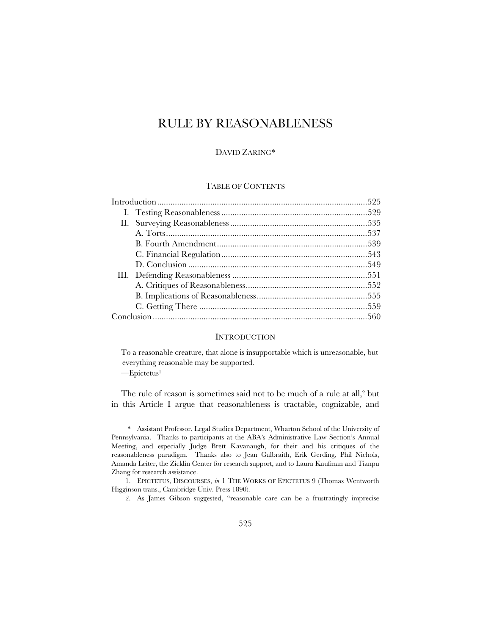# RULE BY REASONABLENESS

## DAVID ZARING\*

## TABLE OF CONTENTS

## INTRODUCTION

To a reasonable creature, that alone is insupportable which is unreasonable, but everything reasonable may be supported.

—Epictetus1

The rule of reason is sometimes said not to be much of a rule at all,<sup>2</sup> but in this Article I argue that reasonableness is tractable, cognizable, and

<sup>\*</sup> Assistant Professor, Legal Studies Department, Wharton School of the University of Pennsylvania. Thanks to participants at the ABA's Administrative Law Section's Annual Meeting, and especially Judge Brett Kavanaugh, for their and his critiques of the reasonableness paradigm. Thanks also to Jean Galbraith, Erik Gerding, Phil Nichols, Amanda Leiter, the Zicklin Center for research support, and to Laura Kaufman and Tianpu Zhang for research assistance.

<sup>1.</sup> EPICTETUS, DISCOURSES, *in* 1 THE WORKS OF EPICTETUS 9 (Thomas Wentworth Higginson trans., Cambridge Univ. Press 1890).

<sup>2.</sup> As James Gibson suggested, "reasonable care can be a frustratingly imprecise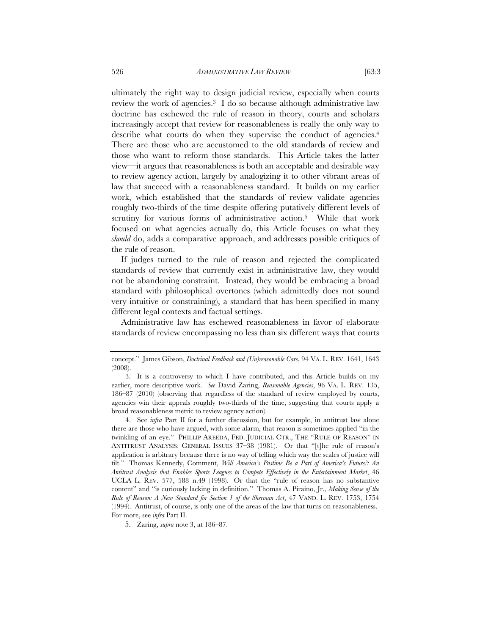ultimately the right way to design judicial review, especially when courts review the work of agencies.<sup>3</sup> I do so because although administrative law doctrine has eschewed the rule of reason in theory, courts and scholars increasingly accept that review for reasonableness is really the only way to describe what courts do when they supervise the conduct of agencies.<sup>4</sup> There are those who are accustomed to the old standards of review and those who want to reform those standards. This Article takes the latter view—it argues that reasonableness is both an acceptable and desirable way to review agency action, largely by analogizing it to other vibrant areas of law that succeed with a reasonableness standard. It builds on my earlier work, which established that the standards of review validate agencies roughly two-thirds of the time despite offering putatively different levels of scrutiny for various forms of administrative action.<sup>5</sup> While that work focused on what agencies actually do, this Article focuses on what they *should* do, adds a comparative approach, and addresses possible critiques of the rule of reason.

If judges turned to the rule of reason and rejected the complicated standards of review that currently exist in administrative law, they would not be abandoning constraint. Instead, they would be embracing a broad standard with philosophical overtones (which admittedly does not sound very intuitive or constraining), a standard that has been specified in many different legal contexts and factual settings.

Administrative law has eschewed reasonableness in favor of elaborate standards of review encompassing no less than six different ways that courts

concept." James Gibson, *Doctrinal Feedback and (Un)reasonable Care*, 94 VA. L. REV. 1641, 1643 (2008).

<sup>3.</sup> It is a controversy to which I have contributed, and this Article builds on my earlier, more descriptive work. *See* David Zaring, *Reasonable Agencies*, 96 VA. L. REV. 135, 186–87 (2010) (observing that regardless of the standard of review employed by courts, agencies win their appeals roughly two-thirds of the time, suggesting that courts apply a broad reasonableness metric to review agency action).

<sup>4.</sup> See *infra* Part II for a further discussion, but for example, in antitrust law alone there are those who have argued, with some alarm, that reason is sometimes applied "in the twinkling of an eye." PHILLIP AREEDA, FED. JUDICIAL CTR., THE "RULE OF REASON" IN ANTITRUST ANALYSIS: GENERAL ISSUES 37–38 (1981). Or that "[t]he rule of reason's application is arbitrary because there is no way of telling which way the scales of justice will tilt." Thomas Kennedy, Comment, *Will America's Pastime Be a Part of America's Future?: An Antitrust Analysis that Enables Sports Leagues to Compete Effectively in the Entertainment Market*, 46 UCLA L. REV. 577, 588 n.49 (1998). Or that the "rule of reason has no substantive content" and "is curiously lacking in definition." Thomas A. Piraino, Jr., *Making Sense of the Rule of Reason: A New Standard for Section 1 of the Sherman Act*, 47 VAND. L. REV. 1753, 1754 (1994). Antitrust, of course, is only one of the areas of the law that turns on reasonableness. For more, see *infra* Part II.

<sup>5.</sup> Zaring, *supra* note 3, at 186–87.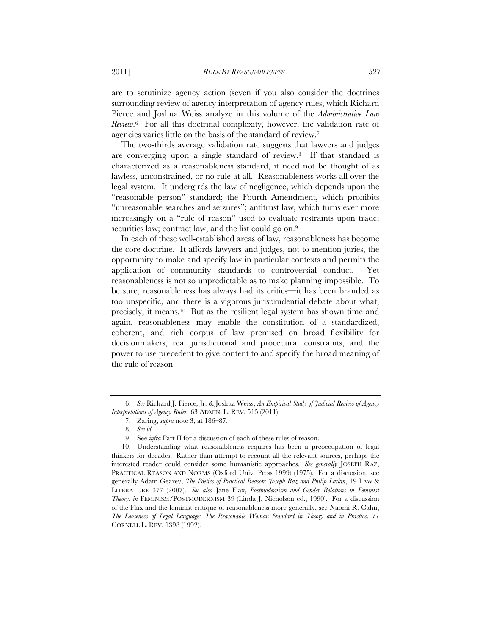are to scrutinize agency action (seven if you also consider the doctrines surrounding review of agency interpretation of agency rules, which Richard Pierce and Joshua Weiss analyze in this volume of the *Administrative Law Review*.6 For all this doctrinal complexity, however, the validation rate of agencies varies little on the basis of the standard of review.7

The two-thirds average validation rate suggests that lawyers and judges are converging upon a single standard of review.8 If that standard is characterized as a reasonableness standard, it need not be thought of as lawless, unconstrained, or no rule at all. Reasonableness works all over the legal system. It undergirds the law of negligence, which depends upon the "reasonable person" standard; the Fourth Amendment, which prohibits "unreasonable searches and seizures"; antitrust law, which turns ever more increasingly on a "rule of reason" used to evaluate restraints upon trade; securities law; contract law; and the list could go on.<sup>9</sup>

In each of these well-established areas of law, reasonableness has become the core doctrine. It affords lawyers and judges, not to mention juries, the opportunity to make and specify law in particular contexts and permits the application of community standards to controversial conduct. Yet reasonableness is not so unpredictable as to make planning impossible. To be sure, reasonableness has always had its critics—it has been branded as too unspecific, and there is a vigorous jurisprudential debate about what, precisely, it means.10 But as the resilient legal system has shown time and again, reasonableness may enable the constitution of a standardized, coherent, and rich corpus of law premised on broad flexibility for decisionmakers, real jurisdictional and procedural constraints, and the power to use precedent to give content to and specify the broad meaning of the rule of reason.

<sup>6.</sup> *See* Richard J. Pierce, Jr. & Joshua Weiss, *An Empirical Study of Judicial Review of Agency Interpretations of Agency Rules*, 63 ADMIN. L. REV. 515 (2011).

<sup>7.</sup> Zaring, *supra* note 3, at 186–87.

<sup>8</sup>*. See id.*

<sup>9.</sup> See *infra* Part II for a discussion of each of these rules of reason.

<sup>10.</sup> Understanding what reasonableness requires has been a preoccupation of legal thinkers for decades. Rather than attempt to recount all the relevant sources, perhaps the interested reader could consider some humanistic approaches. *See generally* JOSEPH RAZ, PRACTICAL REASON AND NORMS (Oxford Univ. Press 1999) (1975). For a discussion, see generally Adam Gearey, *The Poetics of Practical Reason: Joseph Raz and Philip Larkin*, 19 LAW & LITERATURE 377 (2007). *See also* Jane Flax, *Postmodernism and Gender Relations in Feminist Theory*, *in* FEMINISM/POSTMODERNISM 39 (Linda J. Nicholson ed., 1990). For a discussion of the Flax and the feminist critique of reasonableness more generally, see Naomi R. Cahn, *The Looseness of Legal Language: The Reasonable Woman Standard in Theory and in Practice*, 77 CORNELL L. REV. 1398 (1992).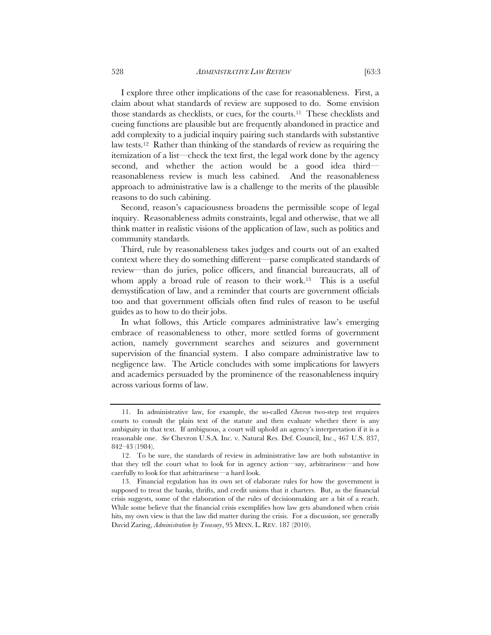I explore three other implications of the case for reasonableness. First, a claim about what standards of review are supposed to do. Some envision those standards as checklists, or cues, for the courts.11 These checklists and cueing functions are plausible but are frequently abandoned in practice and add complexity to a judicial inquiry pairing such standards with substantive law tests.12 Rather than thinking of the standards of review as requiring the itemization of a list—check the text first, the legal work done by the agency second, and whether the action would be a good idea third reasonableness review is much less cabined. And the reasonableness approach to administrative law is a challenge to the merits of the plausible reasons to do such cabining.

Second, reason's capaciousness broadens the permissible scope of legal inquiry. Reasonableness admits constraints, legal and otherwise, that we all think matter in realistic visions of the application of law, such as politics and community standards.

Third, rule by reasonableness takes judges and courts out of an exalted context where they do something different—parse complicated standards of review—than do juries, police officers, and financial bureaucrats, all of whom apply a broad rule of reason to their work.<sup>13</sup> This is a useful demystification of law, and a reminder that courts are government officials too and that government officials often find rules of reason to be useful guides as to how to do their jobs.

In what follows, this Article compares administrative law's emerging embrace of reasonableness to other, more settled forms of government action, namely government searches and seizures and government supervision of the financial system. I also compare administrative law to negligence law. The Article concludes with some implications for lawyers and academics persuaded by the prominence of the reasonableness inquiry across various forms of law.

<sup>11.</sup> In administrative law, for example, the so-called *Chevron* two-step test requires courts to consult the plain text of the statute and then evaluate whether there is any ambiguity in that text. If ambiguous, a court will uphold an agency's interpretation if it is a reasonable one. *See* Chevron U.S.A. Inc. v. Natural Res. Def. Council, Inc., 467 U.S. 837, 842–43 (1984).

<sup>12.</sup> To be sure, the standards of review in administrative law are both substantive in that they tell the court what to look for in agency action—say, arbitrariness—and how carefully to look for that arbitrariness—a hard look.

<sup>13.</sup> Financial regulation has its own set of elaborate rules for how the government is supposed to treat the banks, thrifts, and credit unions that it charters. But, as the financial crisis suggests, some of the elaboration of the rules of decisionmaking are a bit of a reach. While some believe that the financial crisis exemplifies how law gets abandoned when crisis hits, my own view is that the law did matter during the crisis. For a discussion, see generally David Zaring, *Administration by Treasury*, 95 MINN. L. REV. 187 (2010).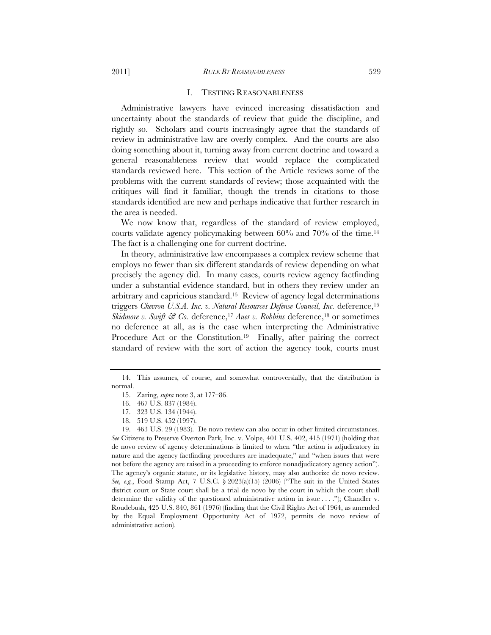#### I. TESTING REASONABLENESS

Administrative lawyers have evinced increasing dissatisfaction and uncertainty about the standards of review that guide the discipline, and rightly so. Scholars and courts increasingly agree that the standards of review in administrative law are overly complex. And the courts are also doing something about it, turning away from current doctrine and toward a general reasonableness review that would replace the complicated standards reviewed here. This section of the Article reviews some of the problems with the current standards of review; those acquainted with the critiques will find it familiar, though the trends in citations to those standards identified are new and perhaps indicative that further research in the area is needed.

We now know that, regardless of the standard of review employed, courts validate agency policymaking between 60% and 70% of the time.14 The fact is a challenging one for current doctrine.

In theory, administrative law encompasses a complex review scheme that employs no fewer than six different standards of review depending on what precisely the agency did. In many cases, courts review agency factfinding under a substantial evidence standard, but in others they review under an arbitrary and capricious standard.15 Review of agency legal determinations triggers *Chevron U.S.A. Inc. v. Natural Resources Defense Council, Inc.* deference,16 *Skidmore v. Swift & Co.* deference,<sup>17</sup> *Auer v. Robbins* deference,<sup>18</sup> or sometimes no deference at all, as is the case when interpreting the Administrative Procedure Act or the Constitution.<sup>19</sup> Finally, after pairing the correct standard of review with the sort of action the agency took, courts must

<sup>14.</sup> This assumes, of course, and somewhat controversially, that the distribution is normal.

<sup>15.</sup> Zaring, *supra* note 3, at 177–86.

<sup>16. 467</sup> U.S. 837 (1984).

<sup>17. 323</sup> U.S. 134 (1944).

<sup>18. 519</sup> U.S. 452 (1997).

<sup>19. 463</sup> U.S. 29 (1983). De novo review can also occur in other limited circumstances. *See* Citizens to Preserve Overton Park, Inc. v. Volpe, 401 U.S. 402, 415 (1971) (holding that de novo review of agency determinations is limited to when "the action is adjudicatory in nature and the agency factfinding procedures are inadequate," and "when issues that were not before the agency are raised in a proceeding to enforce nonadjudicatory agency action"). The agency's organic statute, or its legislative history, may also authorize de novo review. *See, e.g.*, Food Stamp Act, 7 U.S.C. § 2023(a)(15) (2006) ("The suit in the United States district court or State court shall be a trial de novo by the court in which the court shall determine the validity of the questioned administrative action in issue . . . ."); Chandler v. Roudebush, 425 U.S. 840, 861 (1976) (finding that the Civil Rights Act of 1964, as amended by the Equal Employment Opportunity Act of 1972, permits de novo review of administrative action).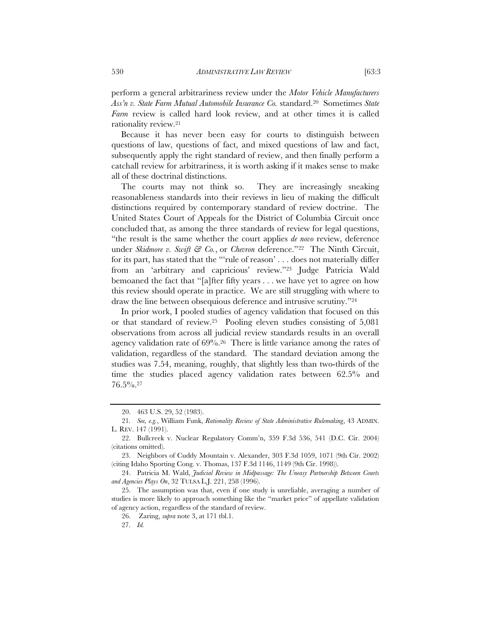perform a general arbitrariness review under the *Motor Vehicle Manufacturers Ass'n v. State Farm Mutual Automobile Insurance Co.* standard.20 Sometimes *State Farm* review is called hard look review, and at other times it is called rationality review.21

Because it has never been easy for courts to distinguish between questions of law, questions of fact, and mixed questions of law and fact, subsequently apply the right standard of review, and then finally perform a catchall review for arbitrariness, it is worth asking if it makes sense to make all of these doctrinal distinctions.

The courts may not think so. They are increasingly sneaking reasonableness standards into their reviews in lieu of making the difficult distinctions required by contemporary standard of review doctrine. The United States Court of Appeals for the District of Columbia Circuit once concluded that, as among the three standards of review for legal questions, "the result is the same whether the court applies *de novo* review, deference under *Skidmore v. Swift & Co.*, or *Chevron* deference."<sup>22</sup> The Ninth Circuit, for its part, has stated that the "'rule of reason' . . . does not materially differ from an 'arbitrary and capricious' review."23 Judge Patricia Wald bemoaned the fact that "[a]fter fifty years . . . we have yet to agree on how this review should operate in practice. We are still struggling with where to draw the line between obsequious deference and intrusive scrutiny."24

In prior work, I pooled studies of agency validation that focused on this or that standard of review.25 Pooling eleven studies consisting of 5,081 observations from across all judicial review standards results in an overall agency validation rate of 69%.26 There is little variance among the rates of validation, regardless of the standard. The standard deviation among the studies was 7.54, meaning, roughly, that slightly less than two-thirds of the time the studies placed agency validation rates between 62.5% and 76.5%.27

<sup>20. 463</sup> U.S. 29, 52 (1983).

<sup>21</sup>*. See, e.g.*, William Funk, *Rationality Review of State Administrative Rulemaking*, 43 ADMIN. L. REV. 147 (1991).

<sup>22.</sup> Bullcreek v. Nuclear Regulatory Comm'n, 359 F.3d 536, 541 (D.C. Cir. 2004) (citations omitted).

<sup>23.</sup> Neighbors of Cuddy Mountain v. Alexander, 303 F.3d 1059, 1071 (9th Cir. 2002) (citing Idaho Sporting Cong. v. Thomas, 137 F.3d 1146, 1149 (9th Cir. 1998)).

<sup>24.</sup> Patricia M. Wald, *Judicial Review in Midpassage: The Uneasy Partnership Between Courts and Agencies Plays On*, 32 TULSA L.J. 221, 258 (1996).

<sup>25.</sup> The assumption was that, even if one study is unreliable, averaging a number of studies is more likely to approach something like the "market price" of appellate validation of agency action, regardless of the standard of review.

<sup>26.</sup> Zaring, *supra* note 3, at 171 tbl.1.

<sup>27.</sup> *Id.*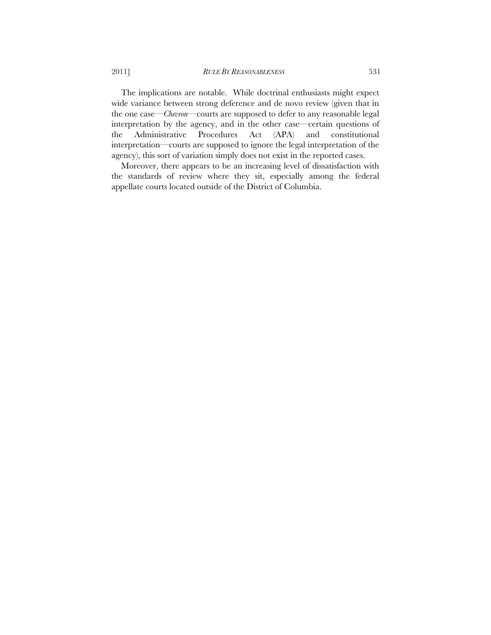The implications are notable. While doctrinal enthusiasts might expect wide variance between strong deference and de novo review (given that in the one case—*Chevron*—courts are supposed to defer to any reasonable legal interpretation by the agency, and in the other case—certain questions of the Administrative Procedures Act (APA) and constitutional interpretation—courts are supposed to ignore the legal interpretation of the agency), this sort of variation simply does not exist in the reported cases.

Moreover, there appears to be an increasing level of dissatisfaction with the standards of review where they sit, especially among the federal appellate courts located outside of the District of Columbia.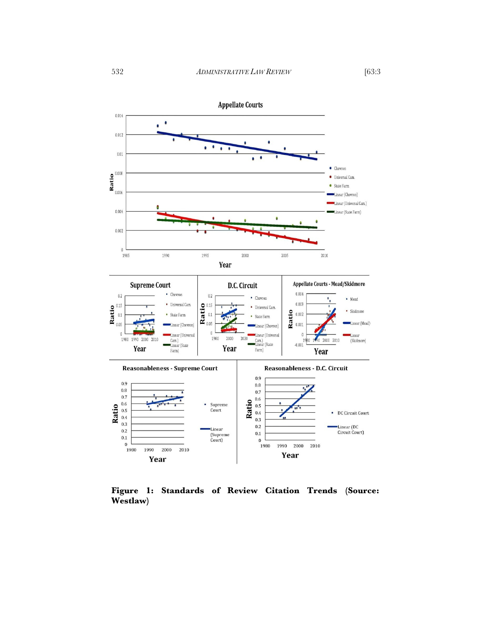





**Figure 1: Standards of Review Citation Trends (Source: Westlaw)**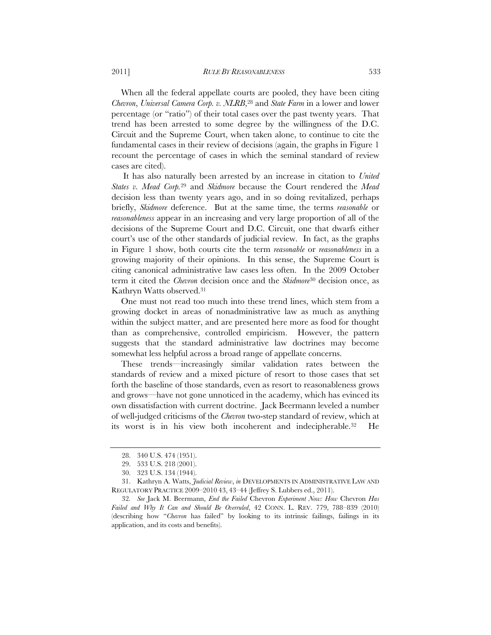When all the federal appellate courts are pooled, they have been citing *Chevron*, *Universal Camera Corp. v. NLRB*,28 and *State Farm* in a lower and lower percentage (or "ratio") of their total cases over the past twenty years. That trend has been arrested to some degree by the willingness of the D.C. Circuit and the Supreme Court, when taken alone, to continue to cite the fundamental cases in their review of decisions (again, the graphs in Figure 1 recount the percentage of cases in which the seminal standard of review cases are cited).

 It has also naturally been arrested by an increase in citation to *United States v. Mead Corp.*29 and *Skidmore* because the Court rendered the *Mead*  decision less than twenty years ago, and in so doing revitalized, perhaps briefly, *Skidmore* deference. But at the same time, the terms *reasonable* or *reasonableness* appear in an increasing and very large proportion of all of the decisions of the Supreme Court and D.C. Circuit, one that dwarfs either court's use of the other standards of judicial review. In fact, as the graphs in Figure 1 show, both courts cite the term *reasonable* or *reasonableness* in a growing majority of their opinions. In this sense, the Supreme Court is citing canonical administrative law cases less often. In the 2009 October term it cited the *Chevron* decision once and the *Skidmore*30 decision once, as Kathryn Watts observed.31

One must not read too much into these trend lines, which stem from a growing docket in areas of nonadministrative law as much as anything within the subject matter, and are presented here more as food for thought than as comprehensive, controlled empiricism. However, the pattern suggests that the standard administrative law doctrines may become somewhat less helpful across a broad range of appellate concerns.

These trends—increasingly similar validation rates between the standards of review and a mixed picture of resort to those cases that set forth the baseline of those standards, even as resort to reasonableness grows and grows—have not gone unnoticed in the academy, which has evinced its own dissatisfaction with current doctrine. Jack Beermann leveled a number of well-judged criticisms of the *Chevron* two-step standard of review, which at its worst is in his view both incoherent and indecipherable.32 He

<sup>28. 340</sup> U.S. 474 (1951).

<sup>29.</sup> 533 U.S. 218 (2001).

<sup>30. 323</sup> U.S. 134 (1944).

<sup>31.</sup> Kathryn A. Watts, *Judicial Review*, *in* DEVELOPMENTS IN ADMINISTRATIVE LAW AND REGULATORY PRACTICE 2009–2010 43, 43–44 (Jeffrey S. Lubbers ed., 2011).

<sup>32</sup>*. See* Jack M. Beermann, *End the Failed* Chevron *Experiment Now: How* Chevron *Has Failed and Why It Can and Should Be Overruled*, 42 CONN. L. REV. 779, 788–839 (2010) (describing how "*Chevron* has failed" by looking to its intrinsic failings, failings in its application, and its costs and benefits).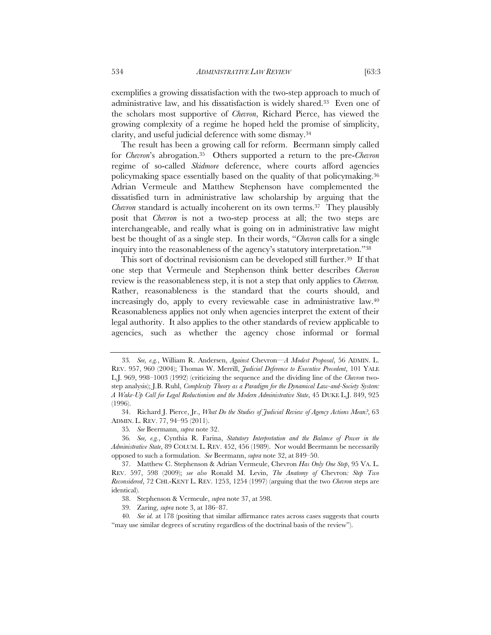exemplifies a growing dissatisfaction with the two-step approach to much of administrative law, and his dissatisfaction is widely shared.33 Even one of the scholars most supportive of *Chevron*, Richard Pierce, has viewed the growing complexity of a regime he hoped held the promise of simplicity, clarity, and useful judicial deference with some dismay.34

The result has been a growing call for reform. Beermann simply called for *Chevron*'s abrogation.35 Others supported a return to the pre-*Chevron*  regime of so-called *Skidmore* deference, where courts afford agencies policymaking space essentially based on the quality of that policymaking.36 Adrian Vermeule and Matthew Stephenson have complemented the dissatisfied turn in administrative law scholarship by arguing that the *Chevron* standard is actually incoherent on its own terms.37 They plausibly posit that *Chevron* is not a two-step process at all; the two steps are interchangeable, and really what is going on in administrative law might best be thought of as a single step. In their words, "*Chevron* calls for a single inquiry into the reasonableness of the agency's statutory interpretation."38

This sort of doctrinal revisionism can be developed still further.<sup>39</sup> If that one step that Vermeule and Stephenson think better describes *Chevron* review is the reasonableness step, it is not a step that only applies to *Chevron.*  Rather, reasonableness is the standard that the courts should, and increasingly do, apply to every reviewable case in administrative law.40 Reasonableness applies not only when agencies interpret the extent of their legal authority. It also applies to the other standards of review applicable to agencies, such as whether the agency chose informal or formal

<sup>33</sup>*. See, e.g.*, William R. Andersen, *Against* Chevron—*A Modest Proposal*, 56 ADMIN. L. REV. 957, 960 (2004); Thomas W. Merrill, *Judicial Deference to Executive Precedent*, 101 YALE L.J. 969, 998–1003 (1992) (criticizing the sequence and the dividing line of the *Chevron* twostep analysis); J.B. Ruhl, *Complexity Theory as a Paradigm for the Dynamical Law-and-Society System: A Wake-Up Call for Legal Reductionism and the Modern Administrative State*, 45 DUKE L.J. 849, 925 (1996).

<sup>34.</sup> Richard J. Pierce, Jr., *What Do the Studies of Judicial Review of Agency Actions Mean?*, 63 ADMIN. L. REV. 77, 94–95 (2011).

<sup>35</sup>*. See* Beermann, *supra* note 32.

<sup>36</sup>*. See, e.g.*, Cynthia R. Farina, *Statutory Interpretation and the Balance of Power in the Administrative State*, 89 COLUM. L. REV. 452, 456 (1989). Nor would Beermann be necessarily opposed to such a formulation. *See* Beermann, *supra* note 32, at 849–50.

<sup>37.</sup> Matthew C. Stephenson & Adrian Vermeule, Chevron *Has Only One Step*, 95 VA. L. REV. 597, 598 (2009); *see also* Ronald M. Levin, *The Anatomy of* Chevron*: Step Two Reconsidered*, 72 CHI.-KENT L. REV. 1253, 1254 (1997) (arguing that the two *Chevron* steps are identical).

<sup>38.</sup> Stephenson & Vermeule, *supra* note 37, at 598.

<sup>39.</sup> Zaring, *supra* note 3, at 186–87.

<sup>40</sup>*. See id.* at 178 (positing that similar affirmance rates across cases suggests that courts "may use similar degrees of scrutiny regardless of the doctrinal basis of the review").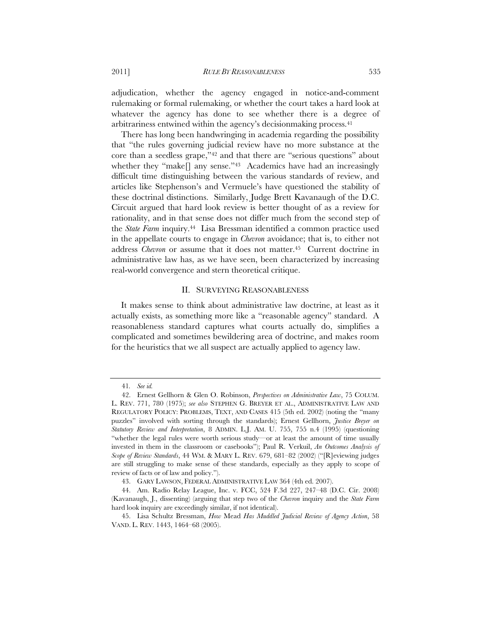adjudication, whether the agency engaged in notice-and-comment rulemaking or formal rulemaking, or whether the court takes a hard look at whatever the agency has done to see whether there is a degree of arbitrariness entwined within the agency's decisionmaking process.41

There has long been handwringing in academia regarding the possibility that "the rules governing judicial review have no more substance at the core than a seedless grape,"42 and that there are "serious questions" about whether they "make<sup>[]</sup> any sense."<sup>43</sup> Academics have had an increasingly difficult time distinguishing between the various standards of review, and articles like Stephenson's and Vermuele's have questioned the stability of these doctrinal distinctions. Similarly, Judge Brett Kavanaugh of the D.C. Circuit argued that hard look review is better thought of as a review for rationality, and in that sense does not differ much from the second step of the *State Farm* inquiry.44 Lisa Bressman identified a common practice used in the appellate courts to engage in *Chevron* avoidance; that is, to either not address *Chevron* or assume that it does not matter.45 Current doctrine in administrative law has, as we have seen, been characterized by increasing real-world convergence and stern theoretical critique.

#### II. SURVEYING REASONABLENESS

It makes sense to think about administrative law doctrine, at least as it actually exists, as something more like a "reasonable agency" standard. A reasonableness standard captures what courts actually do, simplifies a complicated and sometimes bewildering area of doctrine, and makes room for the heuristics that we all suspect are actually applied to agency law.

<sup>41</sup>*. See id.*

<sup>42.</sup> Ernest Gellhorn & Glen O. Robinson, *Perspectives on Administrative Law*, 75 COLUM. L. REV. 771, 780 (1975); *see also* STEPHEN G. BREYER ET AL., ADMINISTRATIVE LAW AND REGULATORY POLICY: PROBLEMS, TEXT, AND CASES 415 (5th ed. 2002) (noting the "many puzzles" involved with sorting through the standards); Ernest Gellhorn, *Justice Breyer on Statutory Review and Interpretation*, 8 ADMIN. L.J. AM. U. 755, 755 n.4 (1995) (questioning "whether the legal rules were worth serious study—or at least the amount of time usually invested in them in the classroom or casebooks"); Paul R. Verkuil, *An Outcomes Analysis of Scope of Review Standards*, 44 WM. & MARY L. REV. 679, 681–82 (2002) ("[R]eviewing judges are still struggling to make sense of these standards, especially as they apply to scope of review of facts or of law and policy.").

<sup>43.</sup> GARY LAWSON, FEDERAL ADMINISTRATIVE LAW 364 (4th ed. 2007).

<sup>44.</sup> Am. Radio Relay League, Inc. v. FCC, 524 F.3d 227, 247–48 (D.C. Cir. 2008) (Kavanaugh, J., dissenting) (arguing that step two of the *Chevron* inquiry and the *State Farm* hard look inquiry are exceedingly similar, if not identical).

<sup>45.</sup> Lisa Schultz Bressman, *How* Mead *Has Muddled Judicial Review of Agency Action*, 58 VAND. L. REV. 1443, 1464–68 (2005).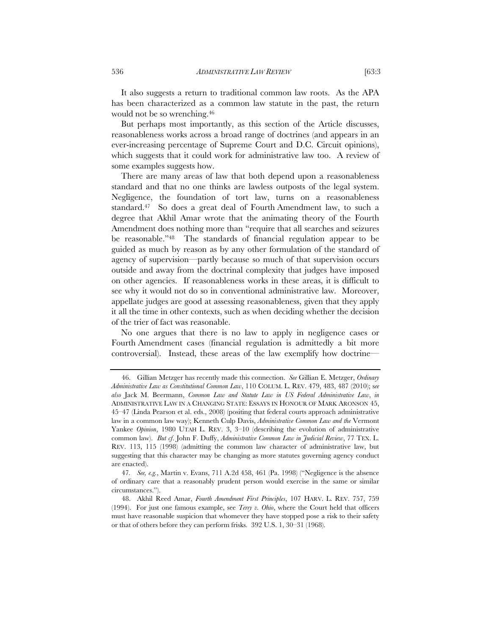It also suggests a return to traditional common law roots. As the APA has been characterized as a common law statute in the past, the return would not be so wrenching.46

But perhaps most importantly, as this section of the Article discusses, reasonableness works across a broad range of doctrines (and appears in an ever-increasing percentage of Supreme Court and D.C. Circuit opinions), which suggests that it could work for administrative law too. A review of some examples suggests how.

There are many areas of law that both depend upon a reasonableness standard and that no one thinks are lawless outposts of the legal system. Negligence, the foundation of tort law, turns on a reasonableness standard.47 So does a great deal of Fourth Amendment law, to such a degree that Akhil Amar wrote that the animating theory of the Fourth Amendment does nothing more than "require that all searches and seizures be reasonable."48 The standards of financial regulation appear to be guided as much by reason as by any other formulation of the standard of agency of supervision—partly because so much of that supervision occurs outside and away from the doctrinal complexity that judges have imposed on other agencies. If reasonableness works in these areas, it is difficult to see why it would not do so in conventional administrative law. Moreover, appellate judges are good at assessing reasonableness, given that they apply it all the time in other contexts, such as when deciding whether the decision of the trier of fact was reasonable.

No one argues that there is no law to apply in negligence cases or Fourth Amendment cases (financial regulation is admittedly a bit more controversial). Instead, these areas of the law exemplify how doctrine—

<sup>46.</sup> Gillian Metzger has recently made this connection. *See* Gillian E. Metzger, *Ordinary Administrative Law as Constitutional Common Law*, 110 COLUM. L. REV. 479, 483, 487 (2010); s*ee also* Jack M. Beermann, *Common Law and Statute Law in US Federal Administrative Law*, *in* ADMINISTRATIVE LAW IN A CHANGING STATE: ESSAYS IN HONOUR OF MARK ARONSON 45, 45–47 (Linda Pearson et al. eds., 2008) (positing that federal courts approach administrative law in a common law way); Kenneth Culp Davis, *Administrative Common Law and the* Vermont Yankee *Opinion*, 1980 UTAH L. REV. 3, 3-10 (describing the evolution of administrative common law). *But cf*. John F. Duffy, *Administrative Common Law in Judicial Review*, 77 TEX. L. REV. 113, 115 (1998) (admitting the common law character of administrative law, but suggesting that this character may be changing as more statutes governing agency conduct are enacted).

<sup>47</sup>*. See, e.g.*, Martin v. Evans, 711 A.2d 458, 461 (Pa. 1998) ("Negligence is the absence of ordinary care that a reasonably prudent person would exercise in the same or similar circumstances.").

<sup>48.</sup> Akhil Reed Amar, *Fourth Amendment First Principles*, 107 HARV. L. REV. 757, 759 (1994). For just one famous example, see *Terry v. Ohio*, where the Court held that officers must have reasonable suspicion that whomever they have stopped pose a risk to their safety or that of others before they can perform frisks. 392 U.S. 1, 30–31 (1968).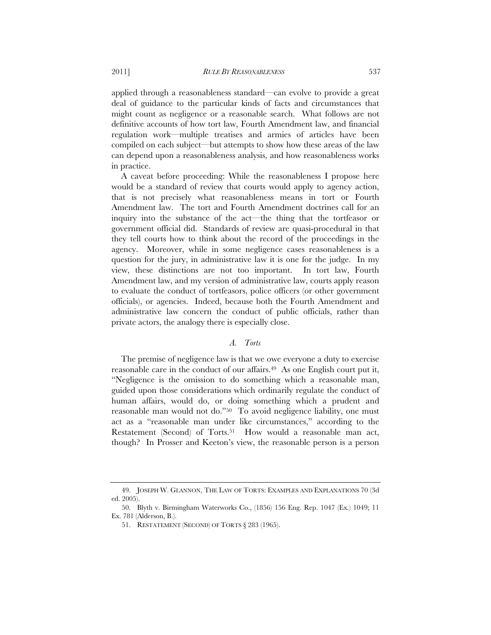applied through a reasonableness standard—can evolve to provide a great deal of guidance to the particular kinds of facts and circumstances that might count as negligence or a reasonable search. What follows are not definitive accounts of how tort law, Fourth Amendment law, and financial regulation work—multiple treatises and armies of articles have been compiled on each subject—but attempts to show how these areas of the law can depend upon a reasonableness analysis, and how reasonableness works in practice.

A caveat before proceeding: While the reasonableness I propose here would be a standard of review that courts would apply to agency action, that is not precisely what reasonableness means in tort or Fourth Amendment law. The tort and Fourth Amendment doctrines call for an inquiry into the substance of the act—the thing that the tortfeasor or government official did. Standards of review are quasi-procedural in that they tell courts how to think about the record of the proceedings in the agency. Moreover, while in some negligence cases reasonableness is a question for the jury, in administrative law it is one for the judge. In my view, these distinctions are not too important. In tort law, Fourth Amendment law, and my version of administrative law, courts apply reason to evaluate the conduct of tortfeasors, police officers (or other government officials), or agencies. Indeed, because both the Fourth Amendment and administrative law concern the conduct of public officials, rather than private actors, the analogy there is especially close.

## *A. Torts*

The premise of negligence law is that we owe everyone a duty to exercise reasonable care in the conduct of our affairs.<sup>49</sup> As one English court put it, "Negligence is the omission to do something which a reasonable man, guided upon those considerations which ordinarily regulate the conduct of human affairs, would do, or doing something which a prudent and reasonable man would not do."50 To avoid negligence liability, one must act as a "reasonable man under like circumstances," according to the Restatement (Second) of Torts.<sup>51</sup> How would a reasonable man act, though? In Prosser and Keeton's view, the reasonable person is a person

<sup>49.</sup> JOSEPH W. GLANNON, THE LAW OF TORTS: EXAMPLES AND EXPLANATIONS 70 (3d ed. 2005).

<sup>50.</sup> Blyth v. Birmingham Waterworks Co., (1856) 156 Eng. Rep. 1047 (Ex.) 1049; 11 Ex. 781 (Alderson, B.).

<sup>51.</sup> RESTATEMENT (SECOND) OF TORTS § 283 (1965).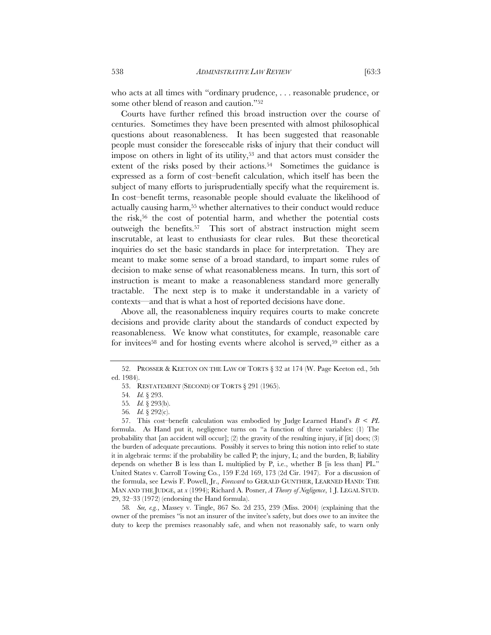who acts at all times with "ordinary prudence, . . . reasonable prudence, or some other blend of reason and caution."52

Courts have further refined this broad instruction over the course of centuries. Sometimes they have been presented with almost philosophical questions about reasonableness. It has been suggested that reasonable people must consider the foreseeable risks of injury that their conduct will impose on others in light of its utility,<sup>53</sup> and that actors must consider the extent of the risks posed by their actions.<sup>54</sup> Sometimes the guidance is expressed as a form of cost–benefit calculation, which itself has been the subject of many efforts to jurisprudentially specify what the requirement is. In cost–benefit terms, reasonable people should evaluate the likelihood of actually causing harm,55 whether alternatives to their conduct would reduce the risk,56 the cost of potential harm, and whether the potential costs outweigh the benefits.57 This sort of abstract instruction might seem inscrutable, at least to enthusiasts for clear rules. But these theoretical inquiries do set the basic standards in place for interpretation. They are meant to make some sense of a broad standard, to impart some rules of decision to make sense of what reasonableness means. In turn, this sort of instruction is meant to make a reasonableness standard more generally tractable. The next step is to make it understandable in a variety of contexts—and that is what a host of reported decisions have done.

Above all, the reasonableness inquiry requires courts to make concrete decisions and provide clarity about the standards of conduct expected by reasonableness. We know what constitutes, for example, reasonable care for invitees<sup>58</sup> and for hosting events where alcohol is served,<sup>59</sup> either as a

58*. See, e.g.*, Massey v. Tingle, 867 So. 2d 235, 239 (Miss. 2004) (explaining that the owner of the premises "is not an insurer of the invitee's safety, but does owe to an invitee the duty to keep the premises reasonably safe, and when not reasonably safe, to warn only

<sup>52.</sup> PROSSER & KEETON ON THE LAW OF TORTS § 32 at 174 (W. Page Keeton ed., 5th ed. 1984).

<sup>53.</sup> RESTATEMENT (SECOND) OF TORTS § 291 (1965).

<sup>54</sup>*. Id.* § 293.

<sup>55</sup>*. Id.* § 293(b).

<sup>56</sup>*. Id.* § 292(c).

<sup>57.</sup> This cost–benefit calculation was embodied by Judge Learned Hand's *B* < *PL* formula. As Hand put it, negligence turns on "a function of three variables: (1) The probability that [an accident will occur]; (2) the gravity of the resulting injury, if [it] does; (3) the burden of adequate precautions. Possibly it serves to bring this notion into relief to state it in algebraic terms: if the probability be called P; the injury, L; and the burden, B; liability depends on whether B is less than L multiplied by P, i.e., whether B [is less than] PL." United States v. Carroll Towing Co*.*, 159 F.2d 169, 173 (2d Cir. 1947). For a discussion of the formula, see Lewis F. Powell, Jr., *Foreward* to GERALD GUNTHER, LEARNED HAND: THE MAN AND THE JUDGE, at *x* (1994); Richard A. Posner, *A Theory of Negligence*, 1 J. LEGAL STUD. 29, 32–33 (1972) (endorsing the Hand formula).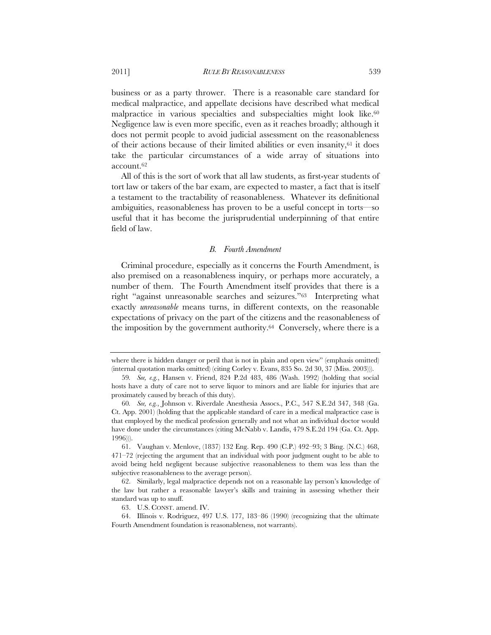business or as a party thrower. There is a reasonable care standard for medical malpractice, and appellate decisions have described what medical malpractice in various specialties and subspecialties might look like.<sup>60</sup> Negligence law is even more specific, even as it reaches broadly; although it does not permit people to avoid judicial assessment on the reasonableness of their actions because of their limited abilities or even insanity,61 it does take the particular circumstances of a wide array of situations into account.62

All of this is the sort of work that all law students, as first-year students of tort law or takers of the bar exam, are expected to master, a fact that is itself a testament to the tractability of reasonableness. Whatever its definitional ambiguities, reasonableness has proven to be a useful concept in torts—so useful that it has become the jurisprudential underpinning of that entire field of law.

#### *B. Fourth Amendment*

Criminal procedure, especially as it concerns the Fourth Amendment, is also premised on a reasonableness inquiry, or perhaps more accurately, a number of them. The Fourth Amendment itself provides that there is a right "against unreasonable searches and seizures."63 Interpreting what exactly *unreasonable* means turns, in different contexts, on the reasonable expectations of privacy on the part of the citizens and the reasonableness of the imposition by the government authority.64 Conversely, where there is a

where there is hidden danger or peril that is not in plain and open view" (emphasis omitted) (internal quotation marks omitted) (citing Corley v. Evans, 835 So. 2d 30, 37 (Miss. 2003))).

<sup>59</sup>*. See, e.g.*, Hansen v. Friend, 824 P.2d 483, 486 (Wash. 1992) (holding that social hosts have a duty of care not to serve liquor to minors and are liable for injuries that are proximately caused by breach of this duty).

<sup>60</sup>*. See, e.g.*, Johnson v. Riverdale Anesthesia Assocs., P.C., 547 S.E.2d 347, 348 (Ga. Ct. App. 2001) (holding that the applicable standard of care in a medical malpractice case is that employed by the medical profession generally and not what an individual doctor would have done under the circumstances (citing McNabb v. Landis, 479 S.E.2d 194 (Ga. Ct. App.) 1996))).

<sup>61.</sup> Vaughan v. Menlove, (1837) 132 Eng. Rep. 490 (C.P.) 492–93; 3 Bing. (N.C.) 468, 471–72 (rejecting the argument that an individual with poor judgment ought to be able to avoid being held negligent because subjective reasonableness to them was less than the subjective reasonableness to the average person).

<sup>62.</sup> Similarly, legal malpractice depends not on a reasonable lay person's knowledge of the law but rather a reasonable lawyer's skills and training in assessing whether their standard was up to snuff.

<sup>63.</sup> U.S. CONST. amend. IV.

<sup>64.</sup> Illinois v. Rodriguez, 497 U.S. 177, 183–86 (1990) (recognizing that the ultimate Fourth Amendment foundation is reasonableness, not warrants).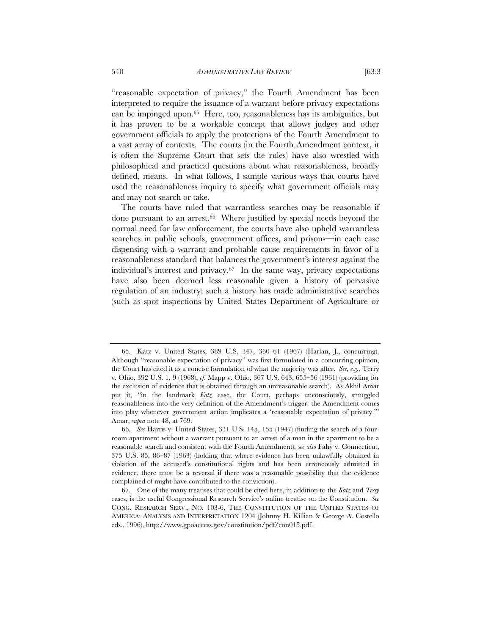"reasonable expectation of privacy," the Fourth Amendment has been interpreted to require the issuance of a warrant before privacy expectations can be impinged upon.65 Here, too, reasonableness has its ambiguities, but it has proven to be a workable concept that allows judges and other government officials to apply the protections of the Fourth Amendment to a vast array of contexts. The courts (in the Fourth Amendment context, it is often the Supreme Court that sets the rules) have also wrestled with philosophical and practical questions about what reasonableness, broadly defined, means. In what follows, I sample various ways that courts have used the reasonableness inquiry to specify what government officials may and may not search or take.

The courts have ruled that warrantless searches may be reasonable if done pursuant to an arrest.66 Where justified by special needs beyond the normal need for law enforcement, the courts have also upheld warrantless searches in public schools, government offices, and prisons—in each case dispensing with a warrant and probable cause requirements in favor of a reasonableness standard that balances the government's interest against the individual's interest and privacy.67 In the same way, privacy expectations have also been deemed less reasonable given a history of pervasive regulation of an industry; such a history has made administrative searches (such as spot inspections by United States Department of Agriculture or

<sup>65.</sup> Katz v. United States, 389 U.S. 347, 360–61 (1967) (Harlan, J., concurring). Although "reasonable expectation of privacy" was first formulated in a concurring opinion, the Court has cited it as a concise formulation of what the majority was after. *See, e.g.*, Terry v. Ohio, 392 U.S. 1, 9 (1968); *cf*. Mapp v. Ohio, 367 U.S. 643, 655–56 (1961) (providing for the exclusion of evidence that is obtained through an unreasonable search). As Akhil Amar put it, "in the landmark *Katz* case, the Court, perhaps unconsciously, smuggled reasonableness into the very definition of the Amendment's trigger: the Amendment comes into play whenever government action implicates a 'reasonable expectation of privacy.'" Amar, *supra* note 48, at 769.

<sup>66</sup>*. See* Harris v. United States, 331 U.S. 145, 155 (1947) (finding the search of a fourroom apartment without a warrant pursuant to an arrest of a man in the apartment to be a reasonable search and consistent with the Fourth Amendment); *see also* Fahy v. Connecticut, 375 U.S. 85, 86–87 (1963) (holding that where evidence has been unlawfully obtained in violation of the accused's constitutional rights and has been erroneously admitted in evidence, there must be a reversal if there was a reasonable possibility that the evidence complained of might have contributed to the conviction).

<sup>67.</sup> One of the many treatises that could be cited here, in addition to the *Katz* and *Terry* cases, is the useful Congressional Research Service's online treatise on the Constitution. *See* CONG. RESEARCH SERV., NO. 103-6, THE CONSTITUTION OF THE UNITED STATES OF AMERICA: ANALYSIS AND INTERPRETATION 1204 (Johnny H. Killian & George A. Costello eds., 1996), http://www.gpoaccess.gov/constitution/pdf/con015.pdf.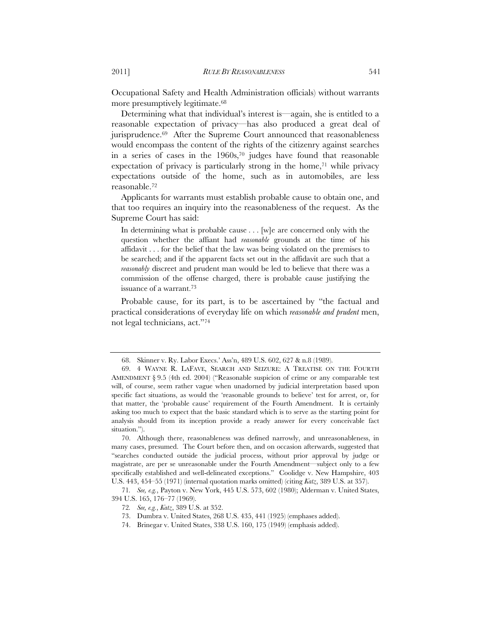Occupational Safety and Health Administration officials) without warrants more presumptively legitimate.68

Determining what that individual's interest is—again, she is entitled to a reasonable expectation of privacy—has also produced a great deal of jurisprudence.<sup>69</sup> After the Supreme Court announced that reasonableness would encompass the content of the rights of the citizenry against searches in a series of cases in the  $1960s$ ,<sup>70</sup> judges have found that reasonable expectation of privacy is particularly strong in the home, $71$  while privacy expectations outside of the home, such as in automobiles, are less reasonable.72

Applicants for warrants must establish probable cause to obtain one, and that too requires an inquiry into the reasonableness of the request. As the Supreme Court has said:

In determining what is probable cause . . . [w]e are concerned only with the question whether the affiant had *reasonable* grounds at the time of his affidavit . . . for the belief that the law was being violated on the premises to be searched; and if the apparent facts set out in the affidavit are such that a *reasonably* discreet and prudent man would be led to believe that there was a commission of the offense charged, there is probable cause justifying the issuance of a warrant.73

Probable cause, for its part, is to be ascertained by "the factual and practical considerations of everyday life on which *reasonable and prudent* men, not legal technicians, act."74

<sup>68.</sup> Skinner v. Ry. Labor Execs.' Ass'n, 489 U.S. 602, 627 & n.8 (1989).

<sup>69. 4</sup> WAYNE R. LAFAVE, SEARCH AND SEIZURE: A TREATISE ON THE FOURTH AMENDMENT § 9.5 (4th ed. 2004) ("Reasonable suspicion of crime or any comparable test will, of course, seem rather vague when unadorned by judicial interpretation based upon specific fact situations, as would the 'reasonable grounds to believe' test for arrest, or, for that matter, the 'probable cause' requirement of the Fourth Amendment. It is certainly asking too much to expect that the basic standard which is to serve as the starting point for analysis should from its inception provide a ready answer for every conceivable fact situation.").

<sup>70.</sup> Although there, reasonableness was defined narrowly, and unreasonableness, in many cases, presumed. The Court before then, and on occasion afterwards, suggested that "searches conducted outside the judicial process, without prior approval by judge or magistrate, are per se unreasonable under the Fourth Amendment—subject only to a few specifically established and well-delineated exceptions." Coolidge v. New Hampshire, 403 U.S. 443, 454–55 (1971) (internal quotation marks omitted) (citing *Katz*, 389 U.S. at 357).

<sup>71</sup>*. See, e.g.*, Payton v. New York, 445 U.S. 573, 602 (1980); Alderman v. United States, 394 U.S. 165, 176–77 (1969).

<sup>72</sup>*. See, e.g.*, *Katz*, 389 U.S. at 352.

<sup>73.</sup> Dumbra v. United States, 268 U.S. 435, 441 (1925) (emphases added).

<sup>74.</sup> Brinegar v. United States, 338 U.S. 160, 175 (1949) (emphasis added).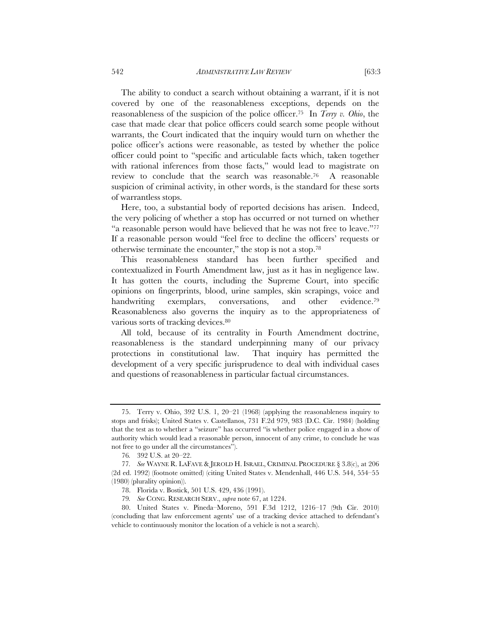The ability to conduct a search without obtaining a warrant, if it is not covered by one of the reasonableness exceptions, depends on the reasonableness of the suspicion of the police officer.75 In *Terry v. Ohio*, the case that made clear that police officers could search some people without warrants, the Court indicated that the inquiry would turn on whether the police officer's actions were reasonable, as tested by whether the police officer could point to "specific and articulable facts which, taken together with rational inferences from those facts," would lead to magistrate on

review to conclude that the search was reasonable.76 A reasonable suspicion of criminal activity, in other words, is the standard for these sorts of warrantless stops.

Here, too, a substantial body of reported decisions has arisen. Indeed, the very policing of whether a stop has occurred or not turned on whether "a reasonable person would have believed that he was not free to leave."77 If a reasonable person would "feel free to decline the officers' requests or otherwise terminate the encounter," the stop is not a stop.78

This reasonableness standard has been further specified and contextualized in Fourth Amendment law, just as it has in negligence law. It has gotten the courts, including the Supreme Court, into specific opinions on fingerprints, blood, urine samples, skin scrapings, voice and handwriting exemplars, conversations, and other evidence.<sup>79</sup> Reasonableness also governs the inquiry as to the appropriateness of various sorts of tracking devices.<sup>80</sup>

All told, because of its centrality in Fourth Amendment doctrine, reasonableness is the standard underpinning many of our privacy protections in constitutional law. That inquiry has permitted the development of a very specific jurisprudence to deal with individual cases and questions of reasonableness in particular factual circumstances.

<sup>75.</sup> Terry v. Ohio, 392 U.S. 1, 20–21 (1968) (applying the reasonableness inquiry to stops and frisks); United States v. Castellanos, 731 F.2d 979, 983 (D.C. Cir. 1984) (holding that the test as to whether a "seizure" has occurred "is whether police engaged in a show of authority which would lead a reasonable person, innocent of any crime, to conclude he was not free to go under all the circumstances").

<sup>76</sup>*.* 392 U.S. at 20–22.

<sup>77</sup>*. See* WAYNE R. LAFAVE & JEROLD H. ISRAEL, CRIMINAL PROCEDURE § 3.8(c), at 206 (2d ed. 1992) (footnote omitted) (citing United States v. Mendenhall, 446 U.S. 544, 554–55 (1980) (plurality opinion)).

<sup>78.</sup> Florida v. Bostick, 501 U.S. 429, 436 (1991).

<sup>79</sup>*. See* CONG. RESEARCH SERV., *supra* note 67, at 1224.

<sup>80.</sup> United States v. Pineda–Moreno, 591 F.3d 1212, 1216–17 (9th Cir. 2010) (concluding that law enforcement agents' use of a tracking device attached to defendant's vehicle to continuously monitor the location of a vehicle is not a search).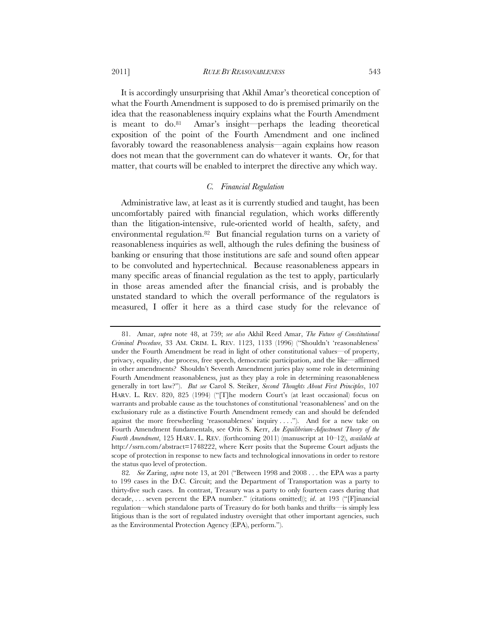It is accordingly unsurprising that Akhil Amar's theoretical conception of what the Fourth Amendment is supposed to do is premised primarily on the idea that the reasonableness inquiry explains what the Fourth Amendment is meant to  $\mathrm{do}$ .<sup>81</sup> Amar's insight—perhaps the leading theoretical exposition of the point of the Fourth Amendment and one inclined favorably toward the reasonableness analysis—again explains how reason does not mean that the government can do whatever it wants. Or, for that

#### *C. Financial Regulation*

matter, that courts will be enabled to interpret the directive any which way.

Administrative law, at least as it is currently studied and taught, has been uncomfortably paired with financial regulation, which works differently than the litigation-intensive, rule-oriented world of health, safety, and environmental regulation.82 But financial regulation turns on a variety of reasonableness inquiries as well, although the rules defining the business of banking or ensuring that those institutions are safe and sound often appear to be convoluted and hypertechnical. Because reasonableness appears in many specific areas of financial regulation as the test to apply, particularly in those areas amended after the financial crisis, and is probably the unstated standard to which the overall performance of the regulators is measured, I offer it here as a third case study for the relevance of

<sup>81.</sup> Amar, *supra* note 48, at 759; *see also* Akhil Reed Amar, *The Future of Constitutional Criminal Procedure*, 33 AM. CRIM. L. REV. 1123, 1133 (1996) ("Shouldn't 'reasonableness' under the Fourth Amendment be read in light of other constitutional values—of property, privacy, equality, due process, free speech, democratic participation, and the like—affirmed in other amendments? Shouldn't Seventh Amendment juries play some role in determining Fourth Amendment reasonableness, just as they play a role in determining reasonableness generally in tort law?"). *But see* Carol S. Steiker, *Second Thoughts About First Principles*, 107 HARV. L. REV. 820, 825 (1994) ("[T]he modern Court's (at least occasional) focus on warrants and probable cause as the touchstones of constitutional 'reasonableness' and on the exclusionary rule as a distinctive Fourth Amendment remedy can and should be defended against the more freewheeling 'reasonableness' inquiry  $\dots$ "). And for a new take on Fourth Amendment fundamentals, see Orin S. Kerr, *An Equilibrium-Adjustment Theory of the Fourth Amendment*, 125 HARV. L. REV. (forthcoming 2011) (manuscript at 10–12), *available at* http://ssrn.com/abstract=1748222, where Kerr posits that the Supreme Court adjusts the scope of protection in response to new facts and technological innovations in order to restore the status quo level of protection.

<sup>82</sup>*. See* Zaring, *supra* note 13, at 201 ("Between 1998 and 2008 . . . the EPA was a party to 199 cases in the D.C. Circuit; and the Department of Transportation was a party to thirty-five such cases. In contrast, Treasury was a party to only fourteen cases during that decade, . . . seven percent the EPA number." (citations omitted)); *id*. at 193 ("[F]inancial regulation—which standalone parts of Treasury do for both banks and thrifts—is simply less litigious than is the sort of regulated industry oversight that other important agencies, such as the Environmental Protection Agency (EPA), perform.").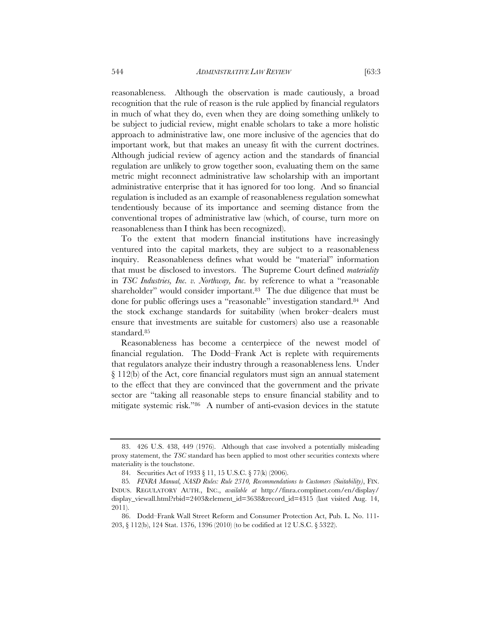reasonableness. Although the observation is made cautiously, a broad recognition that the rule of reason is the rule applied by financial regulators in much of what they do, even when they are doing something unlikely to be subject to judicial review, might enable scholars to take a more holistic approach to administrative law, one more inclusive of the agencies that do important work, but that makes an uneasy fit with the current doctrines. Although judicial review of agency action and the standards of financial regulation are unlikely to grow together soon, evaluating them on the same metric might reconnect administrative law scholarship with an important administrative enterprise that it has ignored for too long. And so financial regulation is included as an example of reasonableness regulation somewhat tendentiously because of its importance and seeming distance from the conventional tropes of administrative law (which, of course, turn more on reasonableness than I think has been recognized).

To the extent that modern financial institutions have increasingly ventured into the capital markets, they are subject to a reasonableness inquiry. Reasonableness defines what would be "material" information that must be disclosed to investors. The Supreme Court defined *materiality* in *TSC Industries, Inc. v. Northway, Inc.* by reference to what a "reasonable shareholder" would consider important.<sup>83</sup> The due diligence that must be done for public offerings uses a "reasonable" investigation standard.84 And the stock exchange standards for suitability (when broker–dealers must ensure that investments are suitable for customers) also use a reasonable standard.85

Reasonableness has become a centerpiece of the newest model of financial regulation. The Dodd–Frank Act is replete with requirements that regulators analyze their industry through a reasonableness lens. Under § 112(b) of the Act, core financial regulators must sign an annual statement to the effect that they are convinced that the government and the private sector are "taking all reasonable steps to ensure financial stability and to mitigate systemic risk."86 A number of anti-evasion devices in the statute

<sup>83. 426</sup> U.S. 438, 449 (1976). Although that case involved a potentially misleading proxy statement, the *TSC* standard has been applied to most other securities contexts where materiality is the touchstone.

<sup>84.</sup> Securities Act of 1933 § 11, 15 U.S.C. § 77(k) (2006).

<sup>85</sup>*. FINRA Manual, NASD Rules: Rule 2310, Recommendations to Customers (Suitability)*, FIN. INDUS. REGULATORY AUTH., INC., *available at* http://finra.complinet.com/en/display/ display\_viewall.html?rbid=2403&element\_id=3638&record\_id=4315 (last visited Aug. 14, 2011).

<sup>86.</sup> Dodd–Frank Wall Street Reform and Consumer Protection Act, Pub. L. No. 111- 203, § 112(b), 124 Stat. 1376, 1396 (2010) (to be codified at 12 U.S.C. § 5322).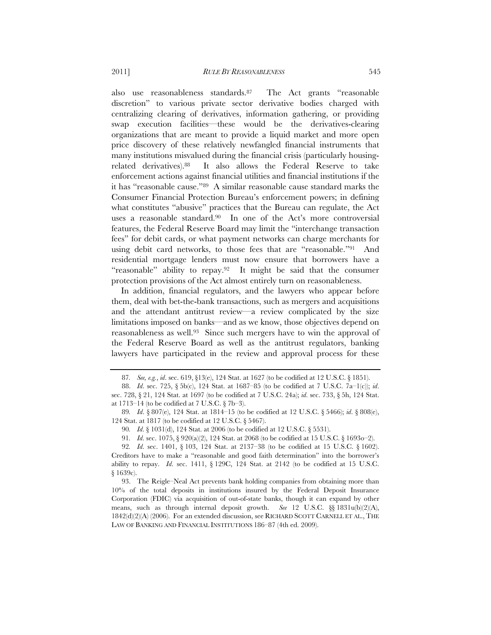also use reasonableness standards.87 The Act grants "reasonable discretion" to various private sector derivative bodies charged with centralizing clearing of derivatives, information gathering, or providing swap execution facilities—these would be the derivatives-clearing organizations that are meant to provide a liquid market and more open price discovery of these relatively newfangled financial instruments that many institutions misvalued during the financial crisis (particularly housingrelated derivatives).88 It also allows the Federal Reserve to take enforcement actions against financial utilities and financial institutions if the it has "reasonable cause."89 A similar reasonable cause standard marks the Consumer Financial Protection Bureau's enforcement powers; in defining what constitutes "abusive" practices that the Bureau can regulate, the Act uses a reasonable standard.90 In one of the Act's more controversial features, the Federal Reserve Board may limit the "interchange transaction fees" for debit cards, or what payment networks can charge merchants for using debit card networks, to those fees that are "reasonable."91 And residential mortgage lenders must now ensure that borrowers have a "reasonable" ability to repay.92 It might be said that the consumer protection provisions of the Act almost entirely turn on reasonableness.

In addition, financial regulators, and the lawyers who appear before them, deal with bet-the-bank transactions, such as mergers and acquisitions and the attendant antitrust review—a review complicated by the size limitations imposed on banks—and as we know, those objectives depend on reasonableness as well.93 Since such mergers have to win the approval of the Federal Reserve Board as well as the antitrust regulators, banking lawyers have participated in the review and approval process for these

<sup>87</sup>*. See, e.g.*, *id*. sec. 619, §13(e), 124 Stat. at 1627 (to be codified at 12 U.S.C. § 1851).

<sup>88.</sup> *Id*. sec. 725, § 5b(c), 124 Stat. at 1687–85 (to be codified at 7 U.S.C. 7a–1(c)); *id*. sec. 728, § 21, 124 Stat. at 1697 (to be codified at 7 U.S.C. 24a); *id*. sec. 733, § 5h, 124 Stat. at 1713–14 (to be codified at 7 U.S.C. § 7b–3).

<sup>89</sup>*. Id*. § 807(e), 124 Stat. at 1814–15 (to be codified at 12 U.S.C. § 5466); *id*. § 808(e), 124 Stat. at 1817 (to be codified at 12 U.S.C. § 5467).

<sup>90</sup>*. Id*. § 1031(d), 124 Stat. at 2006 (to be codified at 12 U.S.C. § 5531).

<sup>91</sup>*. Id*. sec. 1075, § 920(a)(2), 124 Stat. at 2068 (to be codified at 15 U.S.C. § 1693o–2).

<sup>92</sup>*. Id*. sec. 1401, § 103, 124 Stat. at 2137–38 (to be codified at 15 U.S.C. § 1602). Creditors have to make a "reasonable and good faith determination" into the borrower's ability to repay. *Id*. sec. 1411, § 129C, 124 Stat. at 2142 (to be codified at 15 U.S.C. § 1639c).

<sup>93.</sup> The Reigle–Neal Act prevents bank holding companies from obtaining more than 10% of the total deposits in institutions insured by the Federal Deposit Insurance Corporation (FDIC) via acquisition of out-of-state banks, though it can expand by other means, such as through internal deposit growth. *See* 12 U.S.C. §§ 1831u(b)(2)(A), 1842(d)(2)(A) (2006). For an extended discussion, see RICHARD SCOTT CARNELL ET AL., THE LAW OF BANKING AND FINANCIAL INSTITUTIONS 186–87 (4th ed. 2009).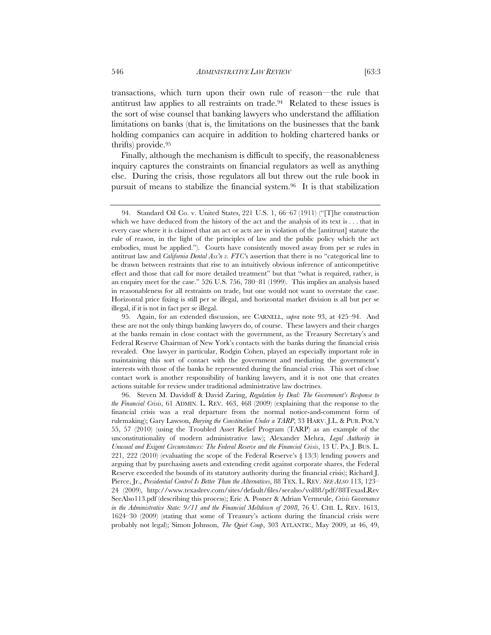transactions, which turn upon their own rule of reason—the rule that antitrust law applies to all restraints on trade.94 Related to these issues is the sort of wise counsel that banking lawyers who understand the affiliation limitations on banks (that is, the limitations on the businesses that the bank holding companies can acquire in addition to holding chartered banks or thrifts) provide.95

Finally, although the mechanism is difficult to specify, the reasonableness inquiry captures the constraints on financial regulators as well as anything else. During the crisis, those regulators all but threw out the rule book in pursuit of means to stabilize the financial system.96 It is that stabilization

<sup>94.</sup> Standard Oil Co. v. United States, 221 U.S. 1, 66–67 (1911) ("[T]he construction which we have deduced from the history of the act and the analysis of its text is . . . that in every case where it is claimed that an act or acts are in violation of the [antitrust] statute the rule of reason, in the light of the principles of law and the public policy which the act embodies, must be applied."). Courts have consistently moved away from per se rules in antitrust law and *California Dental Ass'n v. FTC'*s assertion that there is no "categorical line to be drawn between restraints that rise to an intuitively obvious inference of anticompetitive effect and those that call for more detailed treatment" but that "what is required, rather, is an enquiry meet for the case." 526 U.S. 756, 780–81 (1999). This implies an analysis based in reasonableness for all restraints on trade, but one would not want to overstate the case. Horizontal price fixing is still per se illegal, and horizontal market division is all but per se illegal, if it is not in fact per se illegal.

<sup>95.</sup> Again, for an extended discussion, see CARNELL, *supra* note 93, at 425–94. And these are not the only things banking lawyers do, of course. These lawyers and their charges at the banks remain in close contact with the government, as the Treasury Secretary's and Federal Reserve Chairman of New York's contacts with the banks during the financial crisis revealed. One lawyer in particular, Rodgin Cohen, played an especially important role in maintaining this sort of contact with the government and mediating the government's interests with those of the banks he represented during the financial crisis. This sort of close contact work is another responsibility of banking lawyers, and it is not one that creates actions suitable for review under traditional administrative law doctrines.

<sup>96.</sup> Steven M. Davidoff & David Zaring, *Regulation by Deal: The Government's Response to the Financial Crisis*, 61 ADMIN. L. REV. 463, 468 (2009) (explaining that the response to the financial crisis was a real departure from the normal notice-and-comment form of rulemaking); Gary Lawson, *Burying the Constitution Under a TARP*, 33 HARV. J.L. & PUB. POL'Y 55, 57 (2010) (using the Troubled Asset Relief Program (TARP) as an example of the unconstitutionality of modern administrative law); Alexander Mehra, *Legal Authority in Unusual and Exigent Circumstances: The Federal Reserve and the Financial Crisis*, 13 U. PA. J. BUS. L. 221, 222 (2010) (evaluating the scope of the Federal Reserve's § 13(3) lending powers and arguing that by purchasing assets and extending credit against corporate shares, the Federal Reserve exceeded the bounds of its statutory authority during the financial crisis); Richard J. Pierce, Jr., *Presidential Control Is Better Than the Alternatives*, 88 TEX. L. REV. *SEE ALSO* 113, 123– 24 (2009), http://www.texaslrev.com/sites/default/files/seealso/vol88/pdf/88TexasLRev SeeAlso113.pdf (describing this process); Eric A. Posner & Adrian Vermeule, *Crisis Governance in the Administrative State: 9/11 and the Financial Meltdown of 2008*, 76 U. CHI. L. REV. 1613, 1624–30 (2009) (stating that some of Treasury's actions during the financial crisis were probably not legal); Simon Johnson, *The Quiet Coup*, 303 ATLANTIC, May 2009, at 46, 49,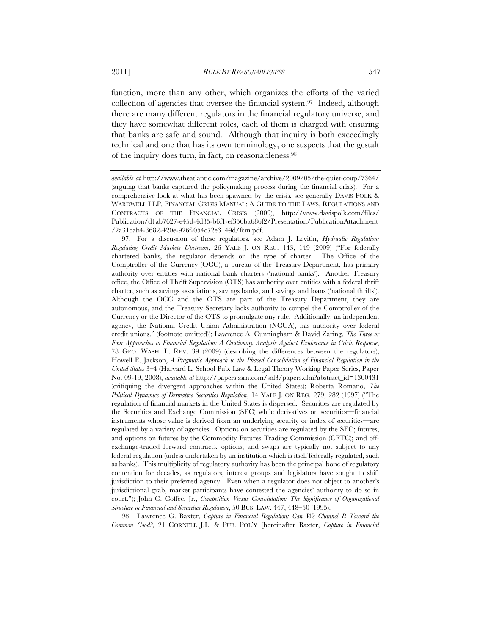function, more than any other, which organizes the efforts of the varied collection of agencies that oversee the financial system.<sup>97</sup> Indeed, although there are many different regulators in the financial regulatory universe, and they have somewhat different roles, each of them is charged with ensuring that banks are safe and sound. Although that inquiry is both exceedingly technical and one that has its own terminology, one suspects that the gestalt of the inquiry does turn, in fact, on reasonableness.98

97. For a discussion of these regulators, see Adam J. Levitin, *Hydraulic Regulation: Regulating Credit Markets Upstream*, 26 YALE J. ON REG. 143, 149 (2009) ("For federally chartered banks, the regulator depends on the type of charter. The Office of the Comptroller of the Currency (OCC), a bureau of the Treasury Department, has primary authority over entities with national bank charters ('national banks'). Another Treasury office, the Office of Thrift Supervision (OTS) has authority over entities with a federal thrift charter, such as savings associations, savings banks, and savings and loans ('national thrifts'). Although the OCC and the OTS are part of the Treasury Department, they are autonomous, and the Treasury Secretary lacks authority to compel the Comptroller of the Currency or the Director of the OTS to promulgate any rule. Additionally, an independent agency, the National Credit Union Administration (NCUA), has authority over federal credit unions." (footnote omitted)); Lawrence A. Cunningham & David Zaring, *The Three or Four Approaches to Financial Regulation: A Cautionary Analysis Against Exuberance in Crisis Response*, 78 GEO. WASH. L. REV. 39 (2009) (describing the differences between the regulators); Howell E. Jackson, *A Pragmatic Approach to the Phased Consolidation of Financial Regulation in the United States* 3–4 (Harvard L. School Pub. Law & Legal Theory Working Paper Series, Paper No. 09-19, 2008), *available at* http://papers.ssrn.com/sol3/papers.cfm?abstract\_id=1300431 (critiquing the divergent approaches within the United States); Roberta Romano, *The Political Dynamics of Derivative Securities Regulation*, 14 YALE J. ON REG. 279, 282 (1997) ("The regulation of financial markets in the United States is dispersed. Securities are regulated by the Securities and Exchange Commission (SEC) while derivatives on securities—financial instruments whose value is derived from an underlying security or index of securities—are regulated by a variety of agencies. Options on securities are regulated by the SEC; futures, and options on futures by the Commodity Futures Trading Commission (CFTC); and offexchange-traded forward contracts, options, and swaps are typically not subject to any federal regulation (unless undertaken by an institution which is itself federally regulated, such as banks). This multiplicity of regulatory authority has been the principal bone of regulatory contention for decades, as regulators, interest groups and legislators have sought to shift jurisdiction to their preferred agency. Even when a regulator does not object to another's jurisdictional grab, market participants have contested the agencies' authority to do so in court."); John C. Coffee, Jr., *Competition Versus Consolidation: The Significance of Organizational Structure in Financial and Securities Regulation*, 50 BUS. LAW. 447, 448–50 (1995).

98. Lawrence G. Baxter, *Capture in Financial Regulation: Can We Channel It Toward the Common Good?*, 21 CORNELL J.L. & PUB. POL'Y [hereinafter Baxter, *Capture in Financial* 

*available at* http://www.theatlantic.com/magazine/archive/2009/05/the-quiet-coup/7364/ (arguing that banks captured the policymaking process during the financial crisis). For a comprehensive look at what has been spawned by the crisis, see generally DAVIS POLK & WARDWELL LLP, FINANCIAL CRISIS MANUAL: A GUIDE TO THE LAWS, REGULATIONS AND CONTRACTS OF THE FINANCIAL CRISIS (2009), http://www.davispolk.com/files/ Publication/d1ab7627-e45d-4d35-b6f1-ef356ba686f2/Presentation/PublicationAttachment /2a31cab4-3682-420e-926f-054c72e3149d/fcm.pdf.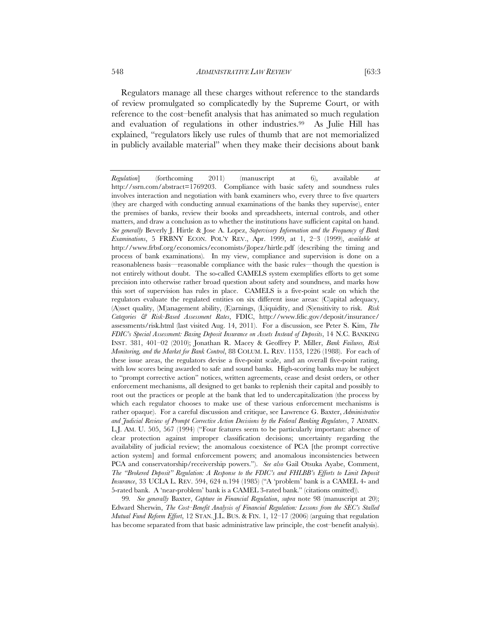Regulators manage all these charges without reference to the standards of review promulgated so complicatedly by the Supreme Court, or with reference to the cost–benefit analysis that has animated so much regulation and evaluation of regulations in other industries.99 As Julie Hill has explained, "regulators likely use rules of thumb that are not memorialized in publicly available material" when they make their decisions about bank

99*. See generally* Baxter, *Capture in Financial Regulation*, *supra* note 98 (manuscript at 20); Edward Sherwin, *The Cost–Benefit Analysis of Financial Regulation: Lessons from the SEC's Stalled Mutual Fund Reform Effort*, 12 STAN. J.L. BUS. & FIN. 1, 12–17 (2006) (arguing that regulation has become separated from that basic administrative law principle, the cost–benefit analysis).

*Regulation*] (forthcoming 2011) (manuscript at 6), available *at*  http://ssrn.com/abstract=1769203. Compliance with basic safety and soundness rules involves interaction and negotiation with bank examiners who, every three to five quarters (they are charged with conducting annual examinations of the banks they supervise), enter the premises of banks, review their books and spreadsheets, internal controls, and other matters, and draw a conclusion as to whether the institutions have sufficient capital on hand. *See generally* Beverly J. Hirtle & Jose A. Lopez, *Supervisory Information and the Frequency of Bank Examinations*, 5 FRBNY ECON. POL'Y REV., Apr. 1999, at 1, 2–3 (1999), *available at*  http://www.frbsf.org/economics/economists/jlopez/hirtle.pdf (describing the timing and process of bank examinations). In my view, compliance and supervision is done on a reasonableness basis—reasonable compliance with the basic rules—though the question is not entirely without doubt. The so-called CAMELS system exemplifies efforts to get some precision into otherwise rather broad question about safety and soundness, and marks how this sort of supervision has rules in place. CAMELS is a five-point scale on which the regulators evaluate the regulated entities on six different issue areas: (C)apital adequacy, (A)sset quality, (M)anagement ability, (E)arnings, (L)iquidity, and (S)ensitivity to risk. *Risk Categories & Risk-Based Assessment Rates*, FDIC, http://www.fdic.gov/deposit/insurance/ assessments/risk.html (last visited Aug. 14, 2011). For a discussion, see Peter S. Kim, *The FDIC's Special Assessment: Basing Deposit Insurance on Assets Instead of Deposits*, 14 N.C. BANKING INST. 381, 401–02 (2010); Jonathan R. Macey & Geoffrey P. Miller, *Bank Failures, Risk Monitoring, and the Market for Bank Control*, 88 COLUM. L. REV. 1153, 1226 (1988). For each of these issue areas, the regulators devise a five-point scale, and an overall five-point rating, with low scores being awarded to safe and sound banks. High-scoring banks may be subject to "prompt corrective action" notices, written agreements, cease and desist orders, or other enforcement mechanisms, all designed to get banks to replenish their capital and possibly to root out the practices or people at the bank that led to undercapitalization (the process by which each regulator chooses to make use of these various enforcement mechanisms is rather opaque). For a careful discussion and critique, see Lawrence G. Baxter, *Administrative and Judicial Review of Prompt Corrective Action Decisions by the Federal Banking Regulators*, 7 ADMIN. L.J. AM. U. 505, 567 (1994) ("Four features seem to be particularly important: absence of clear protection against improper classification decisions; uncertainty regarding the availability of judicial review; the anomalous coexistence of PCA [the prompt corrective action system] and formal enforcement powers; and anomalous inconsistencies between PCA and conservatorship/receivership powers."). *See also* Gail Otsuka Ayabe, Comment, *The "Brokered Deposit" Regulation: A Response to the FDIC's and FHLBB's Efforts to Limit Deposit Insurance*, 33 UCLA L. REV. 594, 624 n.194 (1985) ("A 'problem' bank is a CAMEL 4- and 5-rated bank. A 'near-problem' bank is a CAMEL 3-rated bank." (citations omitted)).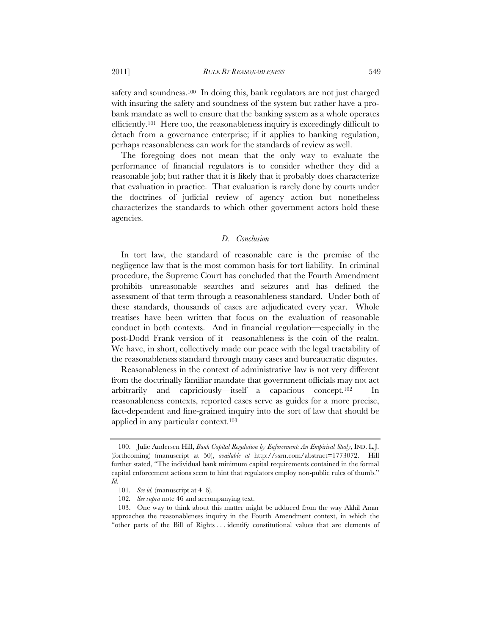2011] *RULE BY REASONABLENESS* 549

safety and soundness.<sup>100</sup> In doing this, bank regulators are not just charged with insuring the safety and soundness of the system but rather have a probank mandate as well to ensure that the banking system as a whole operates efficiently.<sup>101</sup> Here too, the reasonableness inquiry is exceedingly difficult to detach from a governance enterprise; if it applies to banking regulation, perhaps reasonableness can work for the standards of review as well.

The foregoing does not mean that the only way to evaluate the performance of financial regulators is to consider whether they did a reasonable job; but rather that it is likely that it probably does characterize that evaluation in practice. That evaluation is rarely done by courts under the doctrines of judicial review of agency action but nonetheless characterizes the standards to which other government actors hold these agencies.

#### *D. Conclusion*

In tort law, the standard of reasonable care is the premise of the negligence law that is the most common basis for tort liability. In criminal procedure, the Supreme Court has concluded that the Fourth Amendment prohibits unreasonable searches and seizures and has defined the assessment of that term through a reasonableness standard. Under both of these standards, thousands of cases are adjudicated every year. Whole treatises have been written that focus on the evaluation of reasonable conduct in both contexts. And in financial regulation—especially in the post-Dodd–Frank version of it—reasonableness is the coin of the realm. We have, in short, collectively made our peace with the legal tractability of the reasonableness standard through many cases and bureaucratic disputes.

Reasonableness in the context of administrative law is not very different from the doctrinally familiar mandate that government officials may not act arbitrarily and capriciously—itself a capacious concept.102 In reasonableness contexts, reported cases serve as guides for a more precise, fact-dependent and fine-grained inquiry into the sort of law that should be applied in any particular context.103

 <sup>100.</sup> Julie Andersen Hill, *Bank Capital Regulation by Enforcement: An Empirical Study*, IND. L.J. (forthcoming) (manuscript at 50), *available at* http://ssrn.com/abstract=1773072. Hill further stated, "The individual bank minimum capital requirements contained in the formal capital enforcement actions seem to hint that regulators employ non-public rules of thumb." *Id.* 

<sup>101</sup>*. See id.* (manuscript at 4–6).

<sup>102</sup>*. See supra* note 46 and accompanying text.

<sup>103.</sup> One way to think about this matter might be adduced from the way Akhil Amar approaches the reasonableness inquiry in the Fourth Amendment context, in which the "other parts of the Bill of Rights . . . identify constitutional values that are elements of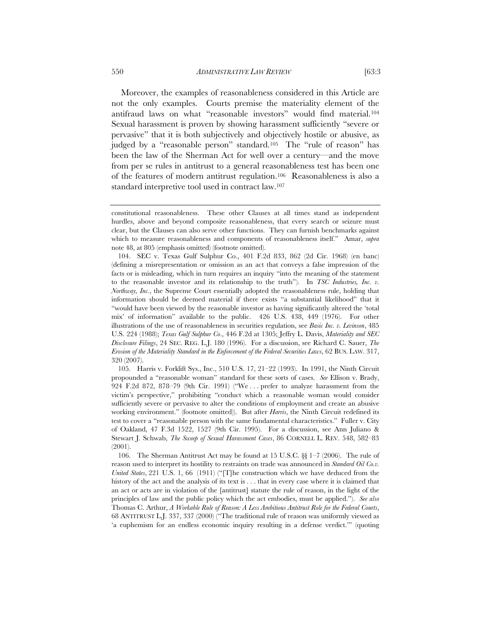Moreover, the examples of reasonableness considered in this Article are not the only examples. Courts premise the materiality element of the antifraud laws on what "reasonable investors" would find material.104 Sexual harassment is proven by showing harassment sufficiently "severe or pervasive" that it is both subjectively and objectively hostile or abusive, as judged by a "reasonable person" standard.<sup>105</sup> The "rule of reason" has been the law of the Sherman Act for well over a century—and the move from per se rules in antitrust to a general reasonableness test has been one of the features of modern antitrust regulation.106 Reasonableness is also a standard interpretive tool used in contract law.107

 105. Harris v. Forklift Sys., Inc., 510 U.S. 17, 21–22 (1993). In 1991, the Ninth Circuit propounded a "reasonable woman" standard for these sorts of cases. *See* Ellison v. Brady, 924 F.2d 872, 878–79 (9th Cir. 1991) ("We . . . prefer to analyze harassment from the victim's perspective," prohibiting "conduct which a reasonable woman would consider sufficiently severe or pervasive to alter the conditions of employment and create an abusive working environment." (footnote omitted)). But after *Harris*, the Ninth Circuit redefined its test to cover a "reasonable person with the same fundamental characteristics." Fuller v. City of Oakland, 47 F.3d 1522, 1527 (9th Cir. 1995). For a discussion, see Ann Juliano & Stewart J. Schwab, *The Sweep of Sexual Harassment Cases*, 86 CORNELL L. REV. 548, 582–83 (2001).

 106. The Sherman Antitrust Act may be found at 15 U.S.C. §§ 1–7 (2006). The rule of reason used to interpret its hostility to restraints on trade was announced in *Standard Oil Co.v. United States*, 221 U.S. 1, 66 (1911) ("[T]he construction which we have deduced from the history of the act and the analysis of its text is  $\dots$  that in every case where it is claimed that an act or acts are in violation of the [antitrust] statute the rule of reason, in the light of the principles of law and the public policy which the act embodies, must be applied."). *See also* Thomas C. Arthur, *A Workable Rule of Reason: A Less Ambitious Antitrust Role for the Federal Courts*, 68 ANTITRUST L.J. 337, 337 (2000) ("The traditional rule of reason was uniformly viewed as 'a euphemism for an endless economic inquiry resulting in a defense verdict.'" (quoting

constitutional reasonableness. These other Clauses at all times stand as independent hurdles, above and beyond composite reasonableness, that every search or seizure must clear, but the Clauses can also serve other functions. They can furnish benchmarks against which to measure reasonableness and components of reasonableness itself." Amar, *supra*  note 48, at 805 (emphasis omitted) (footnote omitted).

 <sup>104.</sup> SEC v. Texas Gulf Sulphur Co., 401 F.2d 833, 862 (2d Cir. 1968) (en banc) (defining a misrepresentation or omission as an act that conveys a false impression of the facts or is misleading, which in turn requires an inquiry "into the meaning of the statement to the reasonable investor and its relationship to the truth"). In *TSC Industries, Inc. v. Northway, Inc.*, the Supreme Court essentially adopted the reasonableness rule, holding that information should be deemed material if there exists "a substantial likelihood" that it "would have been viewed by the reasonable investor as having significantly altered the 'total mix' of information" available to the public. 426 U.S. 438, 449 (1976). For other illustrations of the use of reasonableness in securities regulation, see *Basic Inc. v. Levinson*, 485 U.S. 224 (1988); *Texas Gulf Sulphur Co*., 446 F.2d at 1305; Jeffry L. Davis, *Materiality and SEC Disclosure Filings*, 24 SEC. REG. L.J. 180 (1996). For a discussion, see Richard C. Sauer, *The Erosion of the Materiality Standard in the Enforcement of the Federal Securities Laws*, 62 BUS. LAW. 317, 320 (2007).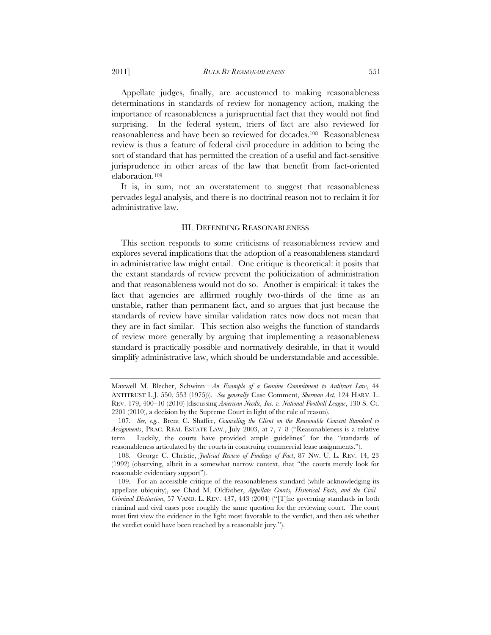Appellate judges, finally, are accustomed to making reasonableness determinations in standards of review for nonagency action, making the importance of reasonableness a jurispruential fact that they would not find surprising. In the federal system, triers of fact are also reviewed for reasonableness and have been so reviewed for decades.108 Reasonableness review is thus a feature of federal civil procedure in addition to being the

sort of standard that has permitted the creation of a useful and fact-sensitive jurisprudence in other areas of the law that benefit from fact-oriented elaboration.109

It is, in sum, not an overstatement to suggest that reasonableness pervades legal analysis, and there is no doctrinal reason not to reclaim it for administrative law.

## III. DEFENDING REASONABLENESS

This section responds to some criticisms of reasonableness review and explores several implications that the adoption of a reasonableness standard in administrative law might entail. One critique is theoretical: it posits that the extant standards of review prevent the politicization of administration and that reasonableness would not do so. Another is empirical: it takes the fact that agencies are affirmed roughly two-thirds of the time as an unstable, rather than permanent fact, and so argues that just because the standards of review have similar validation rates now does not mean that they are in fact similar. This section also weighs the function of standards of review more generally by arguing that implementing a reasonableness standard is practically possible and normatively desirable, in that it would simplify administrative law, which should be understandable and accessible.

Maxwell M. Blecher, Schwinn—*An Example of a Genuine Commitment to Antitrust Law*, 44 ANTITRUST L.J. 550, 553 (1975))). *See generally* Case Comment, *Sherman Act*, 124 HARV. L. REV. 179, 400–10 (2010) (discussing *American Needle, Inc. v. National Football League*, 130 S. Ct. 2201 (2010), a decision by the Supreme Court in light of the rule of reason).

<sup>107</sup>*. See, e.g.*, Brent C. Shaffer, *Counseling the Client on the Reasonable Consent Standard to Assignments*, PRAC. REAL ESTATE LAW., July 2003, at 7, 7–8 ("Reasonableness is a relative term. Luckily, the courts have provided ample guidelines" for the "standards of reasonableness articulated by the courts in construing commercial lease assignments.").

 <sup>108.</sup> George C. Christie, *Judicial Review of Findings of Fact*, 87 NW. U. L. REV. 14, 23 (1992) (observing, albeit in a somewhat narrow context, that "the courts merely look for reasonable evidentiary support").

 <sup>109.</sup> For an accessible critique of the reasonableness standard (while acknowledging its appellate ubiquity), see Chad M. Oldfather, *Appellate Courts, Historical Facts, and the Civil– Criminal Distinction*, 57 VAND. L. REV. 437, 443 (2004) ("[T]he governing standards in both criminal and civil cases pose roughly the same question for the reviewing court. The court must first view the evidence in the light most favorable to the verdict, and then ask whether the verdict could have been reached by a reasonable jury.").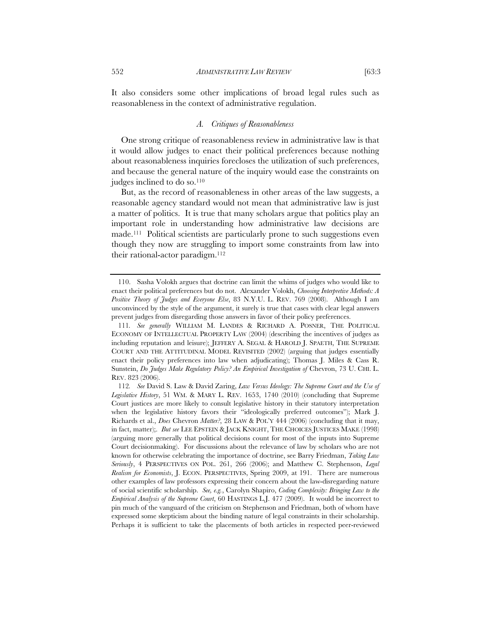It also considers some other implications of broad legal rules such as reasonableness in the context of administrative regulation.

## *A. Critiques of Reasonableness*

One strong critique of reasonableness review in administrative law is that it would allow judges to enact their political preferences because nothing about reasonableness inquiries forecloses the utilization of such preferences, and because the general nature of the inquiry would ease the constraints on judges inclined to do so.<sup>110</sup>

But, as the record of reasonableness in other areas of the law suggests, a reasonable agency standard would not mean that administrative law is just a matter of politics. It is true that many scholars argue that politics play an important role in understanding how administrative law decisions are made.111 Political scientists are particularly prone to such suggestions even though they now are struggling to import some constraints from law into their rational-actor paradigm.<sup>112</sup>

 <sup>110.</sup> Sasha Volokh argues that doctrine can limit the whims of judges who would like to enact their political preferences but do not. Alexander Volokh, *Choosing Interpretive Methods: A Positive Theory of Judges and Everyone Else*, 83 N.Y.U. L. REV. 769 (2008). Although I am unconvinced by the style of the argument, it surely is true that cases with clear legal answers prevent judges from disregarding those answers in favor of their policy preferences.

<sup>111</sup>*. See generally* WILLIAM M. LANDES & RICHARD A. POSNER, THE POLITICAL ECONOMY OF INTELLECTUAL PROPERTY LAW (2004) (describing the incentives of judges as including reputation and leisure); JEFFERY A. SEGAL & HAROLD J. SPAETH, THE SUPREME COURT AND THE ATTITUDINAL MODEL REVISITED (2002) (arguing that judges essentially enact their policy preferences into law when adjudicating); Thomas J. Miles & Cass R. Sunstein, *Do Judges Make Regulatory Policy? An Empirical Investigation of* Chevron, 73 U. CHI. L. REV. 823 (2006).

<sup>112</sup>*. See* David S. Law & David Zaring, *Law Versus Ideology: The Supreme Court and the Use of Legislative History*, 51 WM. & MARY L. REV. 1653, 1740 (2010) (concluding that Supreme Court justices are more likely to consult legislative history in their statutory interpretation when the legislative history favors their "ideologically preferred outcomes"); Mark J. Richards et al., *Does* Chevron *Matter?*, 28 LAW & POL'Y 444 (2006) (concluding that it may, in fact, matter);. *But see* LEE EPSTEIN & JACK KNIGHT, THE CHOICES JUSTICES MAKE (1998) (arguing more generally that political decisions count for most of the inputs into Supreme Court decisionmaking). For discussions about the relevance of law by scholars who are not known for otherwise celebrating the importance of doctrine, see Barry Friedman, *Taking Law Seriously*, 4 PERSPECTIVES ON POL. 261, 266 (2006); and Matthew C. Stephenson, *Legal Realism for Economists*, J. ECON. PERSPECTIVES, Spring 2009, at 191. There are numerous other examples of law professors expressing their concern about the law-disregarding nature of social scientific scholarship. *See, e.g.*, Carolyn Shapiro, *Coding Complexity: Bringing Law to the Empirical Analysis of the Supreme Court*, 60 HASTINGS L.J. 477 (2009). It would be incorrect to pin much of the vanguard of the criticism on Stephenson and Friedman, both of whom have expressed some skepticism about the binding nature of legal constraints in their scholarship. Perhaps it is sufficient to take the placements of both articles in respected peer-reviewed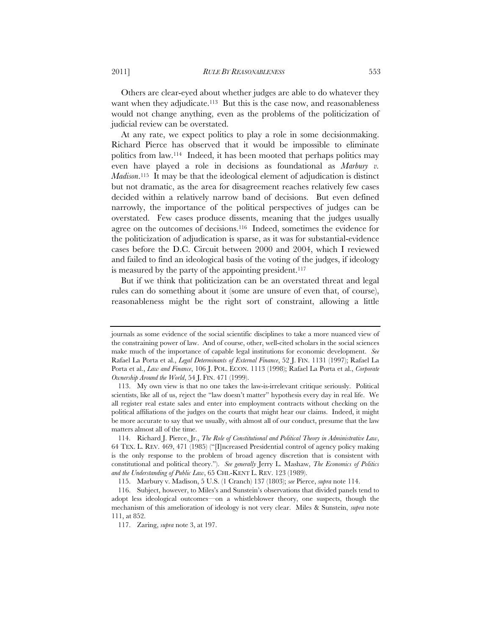Others are clear-eyed about whether judges are able to do whatever they want when they adjudicate.<sup>113</sup> But this is the case now, and reasonableness would not change anything, even as the problems of the politicization of judicial review can be overstated.

At any rate, we expect politics to play a role in some decisionmaking. Richard Pierce has observed that it would be impossible to eliminate politics from law.114 Indeed, it has been mooted that perhaps politics may even have played a role in decisions as foundational as *Marbury v. Madison*.115 It may be that the ideological element of adjudication is distinct but not dramatic, as the area for disagreement reaches relatively few cases decided within a relatively narrow band of decisions. But even defined narrowly, the importance of the political perspectives of judges can be overstated. Few cases produce dissents, meaning that the judges usually agree on the outcomes of decisions.116 Indeed, sometimes the evidence for the politicization of adjudication is sparse, as it was for substantial-evidence cases before the D.C. Circuit between 2000 and 2004, which I reviewed and failed to find an ideological basis of the voting of the judges, if ideology is measured by the party of the appointing president.<sup>117</sup>

But if we think that politicization can be an overstated threat and legal rules can do something about it (some are unsure of even that, of course), reasonableness might be the right sort of constraint, allowing a little

journals as some evidence of the social scientific disciplines to take a more nuanced view of the constraining power of law. And of course, other, well-cited scholars in the social sciences make much of the importance of capable legal institutions for economic development. *See* Rafael La Porta et al., *Legal Determinants of External Finance*, 52 J. FIN. 1131 (1997); Rafael La Porta et al., *Law and Finance*, 106 J. POL. ECON. 1113 (1998); Rafael La Porta et al., *Corporate Ownership Around the World*, 54 J. FIN. 471 (1999).

 <sup>113.</sup> My own view is that no one takes the law-is-irrelevant critique seriously. Political scientists, like all of us, reject the "law doesn't matter" hypothesis every day in real life. We all register real estate sales and enter into employment contracts without checking on the political affiliations of the judges on the courts that might hear our claims. Indeed, it might be more accurate to say that we usually, with almost all of our conduct, presume that the law matters almost all of the time.

 <sup>114.</sup> Richard J. Pierce, Jr., *The Role of Constitutional and Political Theory in Administrative Law*, 64 TEX. L. REV. 469, 471 (1985) ("[I]ncreased Presidential control of agency policy making is the only response to the problem of broad agency discretion that is consistent with constitutional and political theory."). *See generally* Jerry L. Mashaw, *The Economics of Politics and the Understanding of Public Law*, 65 CHI.-KENT L. REV. 123 (1989).

<sup>115.</sup> Marbury v. Madison, 5 U.S. (1 Cranch) 137 (1803); *see* Pierce, *supra* note 114.

 <sup>116.</sup> Subject, however, to Miles's and Sunstein's observations that divided panels tend to adopt less ideological outcomes—on a whistleblower theory, one suspects, though the mechanism of this amelioration of ideology is not very clear. Miles & Sunstein, *supra* note 111, at 852.

 <sup>117.</sup> Zaring, *supra* note 3, at 197.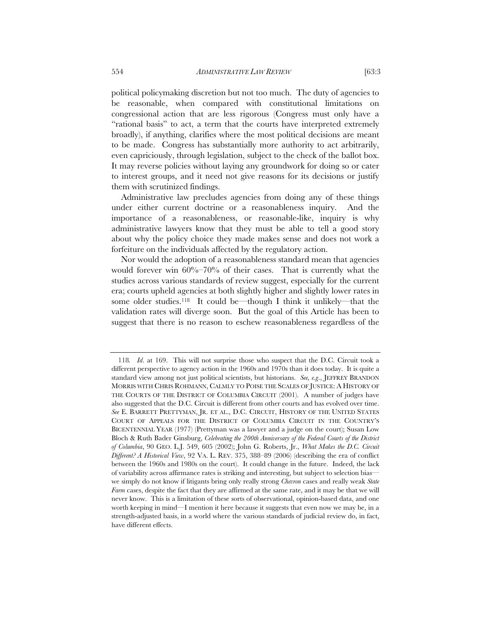political policymaking discretion but not too much. The duty of agencies to be reasonable, when compared with constitutional limitations on congressional action that are less rigorous (Congress must only have a "rational basis" to act, a term that the courts have interpreted extremely broadly), if anything, clarifies where the most political decisions are meant to be made. Congress has substantially more authority to act arbitrarily, even capriciously, through legislation, subject to the check of the ballot box. It may reverse policies without laying any groundwork for doing so or cater to interest groups, and it need not give reasons for its decisions or justify them with scrutinized findings.

Administrative law precludes agencies from doing any of these things under either current doctrine or a reasonableness inquiry. And the importance of a reasonableness, or reasonable-like, inquiry is why administrative lawyers know that they must be able to tell a good story about why the policy choice they made makes sense and does not work a forfeiture on the individuals affected by the regulatory action.

Nor would the adoption of a reasonableness standard mean that agencies would forever win 60%–70% of their cases. That is currently what the studies across various standards of review suggest, especially for the current era; courts upheld agencies at both slightly higher and slightly lower rates in some older studies.<sup>118</sup> It could be—though I think it unlikely—that the validation rates will diverge soon. But the goal of this Article has been to suggest that there is no reason to eschew reasonableness regardless of the

<sup>118</sup>*. Id*. at 169. This will not surprise those who suspect that the D.C. Circuit took a different perspective to agency action in the 1960s and 1970s than it does today. It is quite a standard view among not just political scientists, but historians. *See, e.g*., JEFFREY BRANDON MORRIS WITH CHRIS ROHMANN, CALMLY TO POISE THE SCALES OF JUSTICE: A HISTORY OF THE COURTS OF THE DISTRICT OF COLUMBIA CIRCUIT (2001). A number of judges have also suggested that the D.C. Circuit is different from other courts and has evolved over time. *See* E. BARRETT PRETTYMAN, JR. ET AL., D.C. CIRCUIT, HISTORY OF THE UNITED STATES COURT OF APPEALS FOR THE DISTRICT OF COLUMBIA CIRCUIT IN THE COUNTRY'S BICENTENNIAL YEAR (1977) (Prettyman was a lawyer and a judge on the court); Susan Low Bloch & Ruth Bader Ginsburg, *Celebrating the 200th Anniversary of the Federal Courts of the District of Columbia*, 90 GEO. L.J. 549, 605 (2002); John G. Roberts, Jr., *What Makes the D.C. Circuit Different? A Historical View*, 92 VA. L. REV. 375, 388–89 (2006) (describing the era of conflict between the 1960s and 1980s on the court). It could change in the future. Indeed, the lack of variability across affirmance rates is striking and interesting, but subject to selection bias we simply do not know if litigants bring only really strong *Chevron* cases and really weak *State Farm* cases, despite the fact that they are affirmed at the same rate, and it may be that we will never know. This is a limitation of these sorts of observational, opinion-based data, and one worth keeping in mind—I mention it here because it suggests that even now we may be, in a strength-adjusted basis, in a world where the various standards of judicial review do, in fact, have different effects.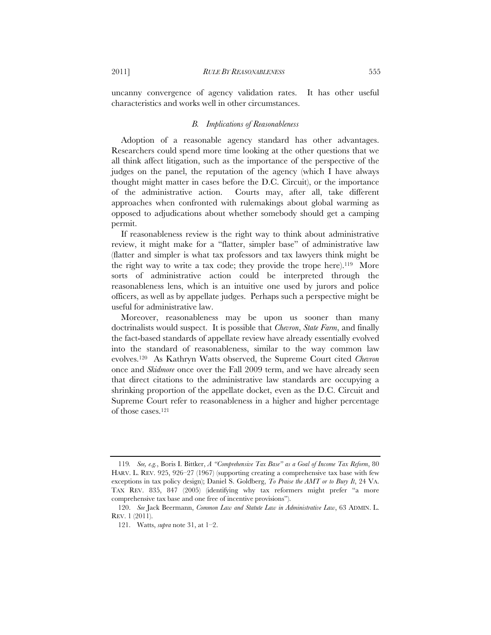uncanny convergence of agency validation rates. It has other useful characteristics and works well in other circumstances.

#### *B. Implications of Reasonableness*

Adoption of a reasonable agency standard has other advantages. Researchers could spend more time looking at the other questions that we all think affect litigation, such as the importance of the perspective of the judges on the panel, the reputation of the agency (which I have always thought might matter in cases before the D.C. Circuit), or the importance of the administrative action. Courts may, after all, take different approaches when confronted with rulemakings about global warming as opposed to adjudications about whether somebody should get a camping permit.

If reasonableness review is the right way to think about administrative review, it might make for a "flatter, simpler base" of administrative law (flatter and simpler is what tax professors and tax lawyers think might be the right way to write a tax code; they provide the trope here).119 More sorts of administrative action could be interpreted through the reasonableness lens, which is an intuitive one used by jurors and police officers, as well as by appellate judges. Perhaps such a perspective might be useful for administrative law.

Moreover, reasonableness may be upon us sooner than many doctrinalists would suspect. It is possible that *Chevron*, *State Farm*, and finally the fact-based standards of appellate review have already essentially evolved into the standard of reasonableness, similar to the way common law evolves.120 As Kathryn Watts observed, the Supreme Court cited *Chevron* once and *Skidmore* once over the Fall 2009 term, and we have already seen that direct citations to the administrative law standards are occupying a shrinking proportion of the appellate docket, even as the D.C. Circuit and Supreme Court refer to reasonableness in a higher and higher percentage of those cases.121

<sup>119</sup>*. See, e.g.*, Boris I. Bittker, *A "Comprehensive Tax Base" as a Goal of Income Tax Reform*, 80 HARV. L. REV. 925, 926–27 (1967) (supporting creating a comprehensive tax base with few exceptions in tax policy design); Daniel S. Goldberg, *To Praise the AMT or to Bury It*, 24 VA. TAX REV. 835, 847 (2005) (identifying why tax reformers might prefer "a more comprehensive tax base and one free of incentive provisions").

 <sup>120.</sup> *See* Jack Beermann, *Common Law and Statute Law in Administrative Law*, 63 ADMIN. L. REV. 1 (2011).

 <sup>121.</sup> Watts, *supra* note 31, at 1–2.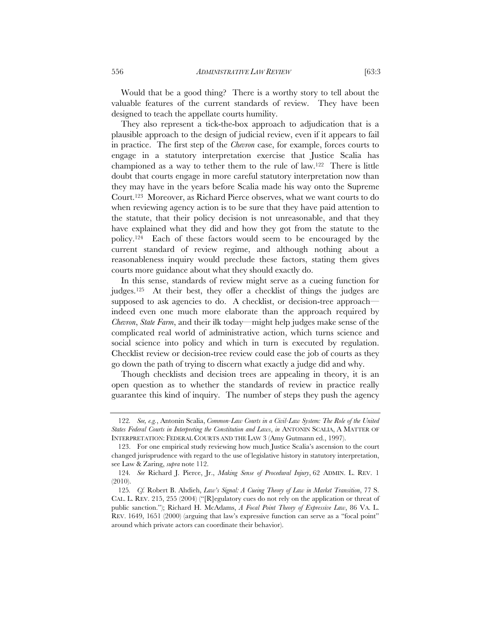Would that be a good thing? There is a worthy story to tell about the valuable features of the current standards of review. They have been designed to teach the appellate courts humility.

They also represent a tick-the-box approach to adjudication that is a plausible approach to the design of judicial review, even if it appears to fail in practice. The first step of the *Chevron* case, for example, forces courts to engage in a statutory interpretation exercise that Justice Scalia has championed as a way to tether them to the rule of law.122 There is little doubt that courts engage in more careful statutory interpretation now than they may have in the years before Scalia made his way onto the Supreme Court.123 Moreover, as Richard Pierce observes, what we want courts to do when reviewing agency action is to be sure that they have paid attention to the statute, that their policy decision is not unreasonable, and that they have explained what they did and how they got from the statute to the policy.124 Each of these factors would seem to be encouraged by the current standard of review regime, and although nothing about a reasonableness inquiry would preclude these factors, stating them gives courts more guidance about what they should exactly do.

In this sense, standards of review might serve as a cueing function for judges.125 At their best, they offer a checklist of things the judges are supposed to ask agencies to do. A checklist, or decision-tree approach indeed even one much more elaborate than the approach required by *Chevron*, *State Farm*, and their ilk today—might help judges make sense of the complicated real world of administrative action, which turns science and social science into policy and which in turn is executed by regulation. Checklist review or decision-tree review could ease the job of courts as they go down the path of trying to discern what exactly a judge did and why.

Though checklists and decision trees are appealing in theory, it is an open question as to whether the standards of review in practice really guarantee this kind of inquiry. The number of steps they push the agency

<sup>122</sup>*. See, e.g.*, Antonin Scalia, *Common-Law Courts in a Civil-Law System: The Role of the United States Federal Courts in Interpreting the Constitution and Laws*, *in* ANTONIN SCALIA, A MATTER OF INTERPRETATION: FEDERAL COURTS AND THE LAW 3 (Amy Gutmann ed., 1997).

 <sup>123.</sup> For one empirical study reviewing how much Justice Scalia's ascension to the court changed jurisprudence with regard to the use of legislative history in statutory interpretation, see Law & Zaring, *supra* note 112.

<sup>124</sup>*. See* Richard J. Pierce, Jr., *Making Sense of Procedural Injury*, 62 ADMIN. L. REV. 1 (2010).

<sup>125</sup>*. Cf.* Robert B. Ahdieh, *Law's Signal: A Cueing Theory of Law in Market Transition*, 77 S. CAL. L. REV. 215, 255 (2004) ("[R]egulatory cues do not rely on the application or threat of public sanction."); Richard H. McAdams, *A Focal Point Theory of Expressive Law*, 86 VA. L. REV. 1649, 1651 (2000) (arguing that law's expressive function can serve as a "focal point" around which private actors can coordinate their behavior).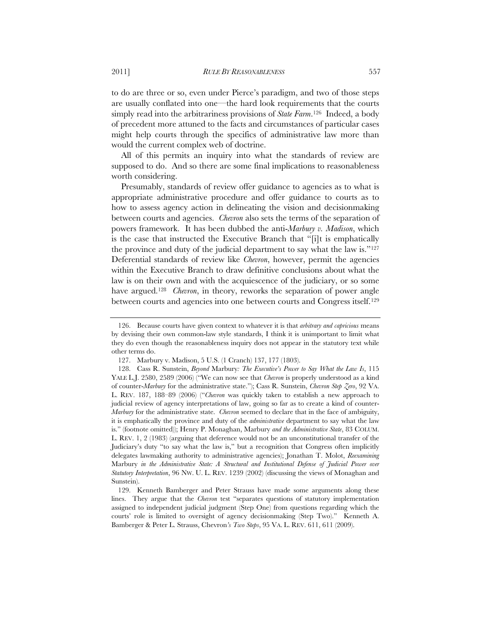to do are three or so, even under Pierce's paradigm, and two of those steps are usually conflated into one—the hard look requirements that the courts simply read into the arbitrariness provisions of *State Farm*.126 Indeed, a body of precedent more attuned to the facts and circumstances of particular cases might help courts through the specifics of administrative law more than would the current complex web of doctrine.

All of this permits an inquiry into what the standards of review are supposed to do. And so there are some final implications to reasonableness worth considering.

Presumably, standards of review offer guidance to agencies as to what is appropriate administrative procedure and offer guidance to courts as to how to assess agency action in delineating the vision and decisionmaking between courts and agencies. *Chevron* also sets the terms of the separation of powers framework. It has been dubbed the anti-*Marbury v. Madison*, which is the case that instructed the Executive Branch that "[i]t is emphatically the province and duty of the judicial department to say what the law is."127 Deferential standards of review like *Chevron*, however, permit the agencies within the Executive Branch to draw definitive conclusions about what the law is on their own and with the acquiescence of the judiciary, or so some have argued.128 *Chevron*, in theory, reworks the separation of power angle between courts and agencies into one between courts and Congress itself.129

 <sup>126.</sup> Because courts have given context to whatever it is that *arbitrary and capricious* means by devising their own common-law style standards, I think it is unimportant to limit what they do even though the reasonableness inquiry does not appear in the statutory text while other terms do.

<sup>127.</sup> Marbury v. Madison, 5 U.S. (1 Cranch) 137, 177 (1803).

 <sup>128.</sup> Cass R. Sunstein, *Beyond* Marbury*: The Executive's Power to Say What the Law Is*, 115 YALE L.J. 2580, 2589 (2006) ("We can now see that *Chevron* is properly understood as a kind of counter-*Marbury* for the administrative state."); Cass R. Sunstein, *Chevron Step Zero*, 92 VA. L. REV. 187, 188–89 (2006) ("*Chevron* was quickly taken to establish a new approach to judicial review of agency interpretations of law, going so far as to create a kind of counter-*Marbury* for the administrative state. *Chevron* seemed to declare that in the face of ambiguity, it is emphatically the province and duty of the *administrative* department to say what the law is." (footnote omitted)); Henry P. Monaghan, Marbury *and the Administrative State*, 83 COLUM. L. REV. 1, 2 (1983) (arguing that deference would not be an unconstitutional transfer of the Judiciary's duty "to say what the law is," but a recognition that Congress often implicitly delegates lawmaking authority to administrative agencies); Jonathan T. Molot, *Reexamining*  Marbury *in the Administrative State: A Structural and Institutional Defense of Judicial Power over Statutory Interpretation*, 96 NW. U. L. REV. 1239 (2002) (discussing the views of Monaghan and Sunstein).

<sup>129.</sup> Kenneth Bamberger and Peter Strauss have made some arguments along these lines. They argue that the *Chevron* test "separates questions of statutory implementation assigned to independent judicial judgment (Step One) from questions regarding which the courts' role is limited to oversight of agency decisionmaking (Step Two)." Kenneth A. Bamberger & Peter L. Strauss, Chevron*'s Two Steps*, 95 VA. L. REV. 611, 611 (2009).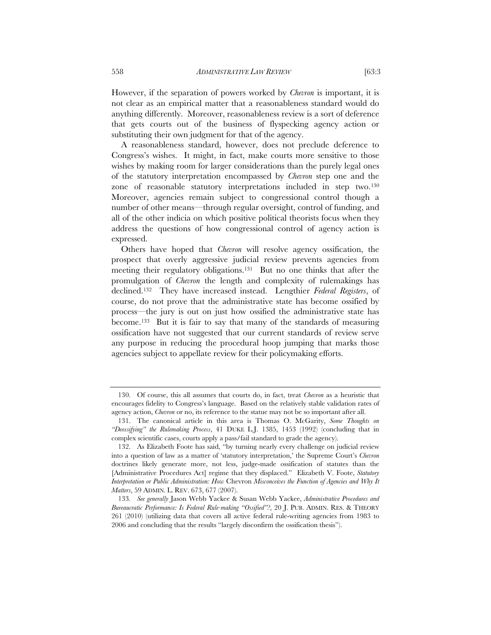However, if the separation of powers worked by *Chevron* is important, it is not clear as an empirical matter that a reasonableness standard would do anything differently. Moreover, reasonableness review is a sort of deference that gets courts out of the business of flyspecking agency action or substituting their own judgment for that of the agency.

A reasonableness standard, however, does not preclude deference to Congress's wishes. It might, in fact, make courts more sensitive to those wishes by making room for larger considerations than the purely legal ones of the statutory interpretation encompassed by *Chevron* step one and the zone of reasonable statutory interpretations included in step two.130 Moreover, agencies remain subject to congressional control though a number of other means—through regular oversight, control of funding, and all of the other indicia on which positive political theorists focus when they address the questions of how congressional control of agency action is expressed.

Others have hoped that *Chevron* will resolve agency ossification, the prospect that overly aggressive judicial review prevents agencies from meeting their regulatory obligations.131 But no one thinks that after the promulgation of *Chevron* the length and complexity of rulemakings has declined.132 They have increased instead. Lengthier *Federal Registers*, of course, do not prove that the administrative state has become ossified by process—the jury is out on just how ossified the administrative state has become.133 But it is fair to say that many of the standards of measuring ossification have not suggested that our current standards of review serve any purpose in reducing the procedural hoop jumping that marks those agencies subject to appellate review for their policymaking efforts.

 <sup>130.</sup> Of course, this all assumes that courts do, in fact, treat *Chevron* as a heuristic that encourages fidelity to Congress's language. Based on the relatively stable validation rates of agency action, *Chevron* or no, its reference to the statue may not be so important after all.

 <sup>131.</sup> The canonical article in this area is Thomas O. McGarity, *Some Thoughts on "Deossifying" the Rulemaking Process*, 41 DUKE L.J. 1385, 1453 (1992) (concluding that in complex scientific cases, courts apply a pass/fail standard to grade the agency).

 <sup>132.</sup> As Elizabeth Foote has said, "by turning nearly every challenge on judicial review into a question of law as a matter of 'statutory interpretation,' the Supreme Court's *Chevron* doctrines likely generate more, not less, judge-made ossification of statutes than the [Administrative Procedures Act] regime that they displaced." Elizabeth V. Foote, *Statutory Interpretation or Public Administration: How* Chevron *Misconceives the Function of Agencies and Why It Matters*, 59 ADMIN. L. REV. 673, 677 (2007).

<sup>133</sup>*. See generally* Jason Webb Yackee & Susan Webb Yackee, *Administrative Procedures and Bureaucratic Performance: Is Federal Rule-making "Ossified"?*, 20 J. PUB. ADMIN. RES. & THEORY 261 (2010) (utilizing data that covers all active federal rule-writing agencies from 1983 to 2006 and concluding that the results "largely disconfirm the ossification thesis").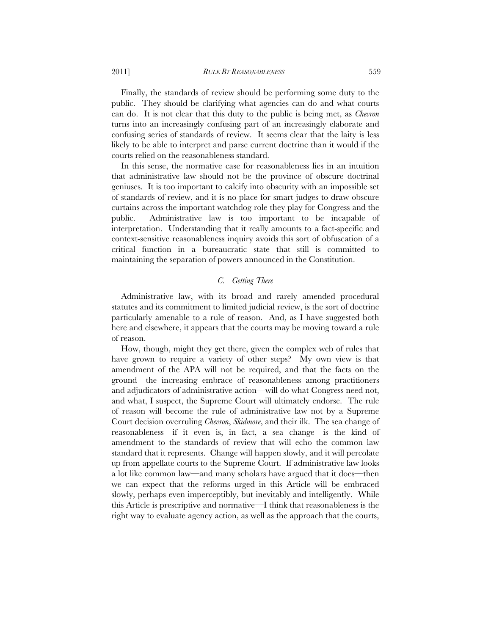Finally, the standards of review should be performing some duty to the public. They should be clarifying what agencies can do and what courts can do. It is not clear that this duty to the public is being met, as *Chevron* turns into an increasingly confusing part of an increasingly elaborate and confusing series of standards of review. It seems clear that the laity is less likely to be able to interpret and parse current doctrine than it would if the courts relied on the reasonableness standard.

In this sense, the normative case for reasonableness lies in an intuition that administrative law should not be the province of obscure doctrinal geniuses. It is too important to calcify into obscurity with an impossible set of standards of review, and it is no place for smart judges to draw obscure curtains across the important watchdog role they play for Congress and the public. Administrative law is too important to be incapable of interpretation. Understanding that it really amounts to a fact-specific and context-sensitive reasonableness inquiry avoids this sort of obfuscation of a critical function in a bureaucratic state that still is committed to maintaining the separation of powers announced in the Constitution.

#### *C. Getting There*

Administrative law, with its broad and rarely amended procedural statutes and its commitment to limited judicial review, is the sort of doctrine particularly amenable to a rule of reason. And, as I have suggested both here and elsewhere, it appears that the courts may be moving toward a rule of reason.

How, though, might they get there, given the complex web of rules that have grown to require a variety of other steps? My own view is that amendment of the APA will not be required, and that the facts on the ground—the increasing embrace of reasonableness among practitioners and adjudicators of administrative action—will do what Congress need not, and what, I suspect, the Supreme Court will ultimately endorse. The rule of reason will become the rule of administrative law not by a Supreme Court decision overruling *Chevron*, *Skidmore*, and their ilk. The sea change of reasonableness—if it even is, in fact, a sea change—is the kind of amendment to the standards of review that will echo the common law standard that it represents. Change will happen slowly, and it will percolate up from appellate courts to the Supreme Court. If administrative law looks a lot like common law—and many scholars have argued that it does—then we can expect that the reforms urged in this Article will be embraced slowly, perhaps even imperceptibly, but inevitably and intelligently. While this Article is prescriptive and normative—I think that reasonableness is the right way to evaluate agency action, as well as the approach that the courts,